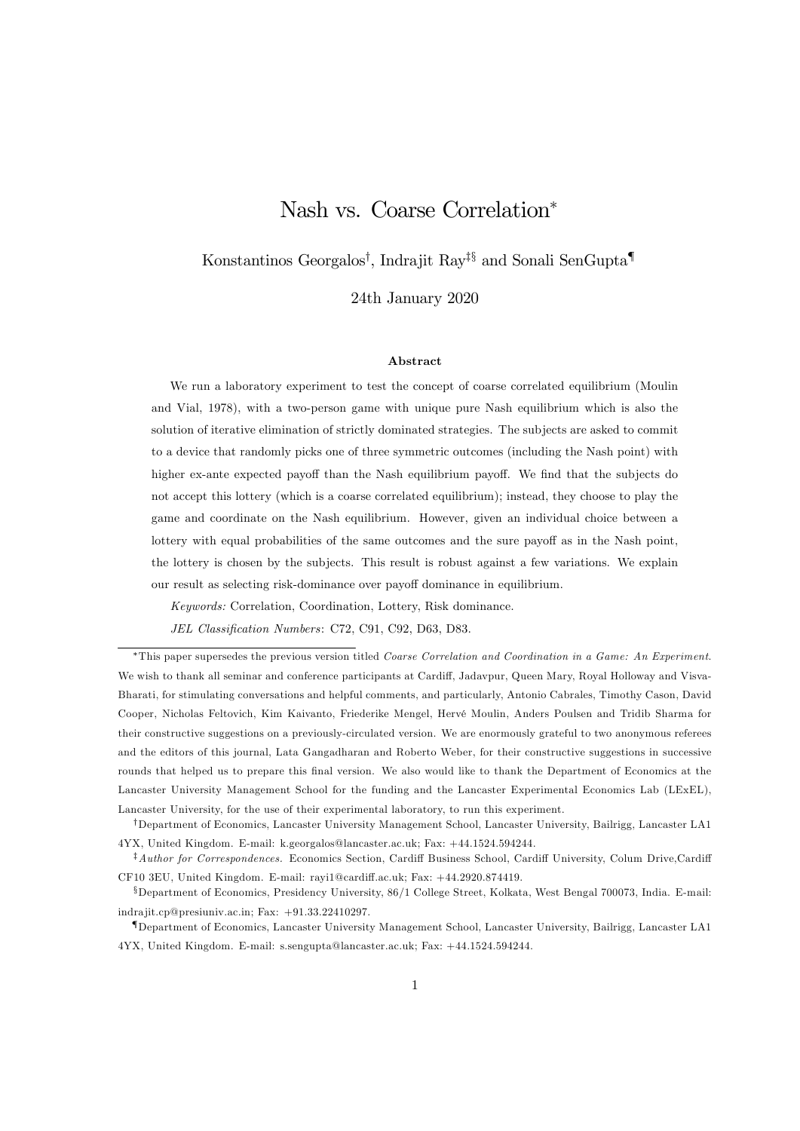# Nash vs. Coarse Correlation<sup>∗</sup>

Konstantinos Georgalos† , Indrajit Ray‡§ and Sonali SenGupta¶

24th January 2020

#### Abstract

We run a laboratory experiment to test the concept of coarse correlated equilibrium (Moulin and Vial, 1978), with a two-person game with unique pure Nash equilibrium which is also the solution of iterative elimination of strictly dominated strategies. The subjects are asked to commit to a device that randomly picks one of three symmetric outcomes (including the Nash point) with higher ex-ante expected payoff than the Nash equilibrium payoff. We find that the subjects do not accept this lottery (which is a coarse correlated equilibrium); instead, they choose to play the game and coordinate on the Nash equilibrium. However, given an individual choice between a lottery with equal probabilities of the same outcomes and the sure payoff as in the Nash point, the lottery is chosen by the subjects. This result is robust against a few variations. We explain our result as selecting risk-dominance over payoff dominance in equilibrium.

Keywords: Correlation, Coordination, Lottery, Risk dominance.

JEL Classification Numbers: C72, C91, C92, D63, D83.

∗This paper supersedes the previous version titled Coarse Correlation and Coordination in a Game: An Experiment. We wish to thank all seminar and conference participants at Cardiff, Jadavpur, Queen Mary, Royal Holloway and Visva-Bharati, for stimulating conversations and helpful comments, and particularly, Antonio Cabrales, Timothy Cason, David Cooper, Nicholas Feltovich, Kim Kaivanto, Friederike Mengel, Hervé Moulin, Anders Poulsen and Tridib Sharma for their constructive suggestions on a previously-circulated version. We are enormously grateful to two anonymous referees and the editors of this journal, Lata Gangadharan and Roberto Weber, for their constructive suggestions in successive rounds that helped us to prepare this final version. We also would like to thank the Department of Economics at the Lancaster University Management School for the funding and the Lancaster Experimental Economics Lab (LExEL), Lancaster University, for the use of their experimental laboratory, to run this experiment.

†Department of Economics, Lancaster University Management School, Lancaster University, Bailrigg, Lancaster LA1 4YX, United Kingdom. E-mail: k.georgalos@lancaster.ac.uk; Fax: +44.1524.594244.

‡Author for Correspondences. Economics Section, Cardiff Business School, Cardiff University, Colum Drive,Cardiff CF10 3EU, United Kingdom. E-mail: rayi1@cardiff.ac.uk; Fax: +44.2920.874419.

<sup>§</sup>Department of Economics, Presidency University, 86/1 College Street, Kolkata, West Bengal 700073, India. E-mail: indra jit.cp@presiuniv.ac.in; Fax: +91.33.22410297.

<sup>¶</sup>Department of Economics, Lancaster University Management School, Lancaster University, Bailrigg, Lancaster LA1 4YX, United Kingdom. E-mail: s.sengupta@lancaster.ac.uk; Fax: +44.1524.594244.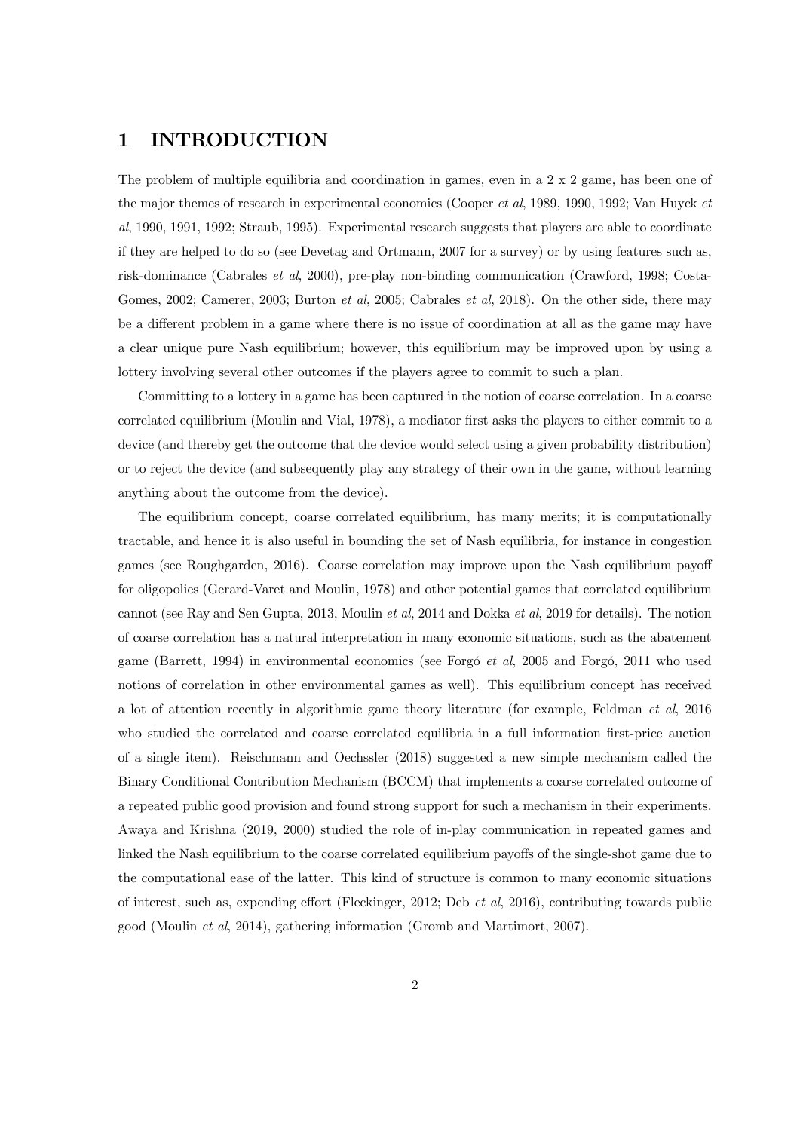## 1 INTRODUCTION

The problem of multiple equilibria and coordination in games, even in a 2 x 2 game, has been one of the major themes of research in experimental economics (Cooper et al, 1989, 1990, 1992; Van Huyck et al, 1990, 1991, 1992; Straub, 1995). Experimental research suggests that players are able to coordinate if they are helped to do so (see Devetag and Ortmann, 2007 for a survey) or by using features such as, risk-dominance (Cabrales et al, 2000), pre-play non-binding communication (Crawford, 1998; Costa-Gomes, 2002; Camerer, 2003; Burton et al, 2005; Cabrales et al, 2018). On the other side, there may be a different problem in a game where there is no issue of coordination at all as the game may have a clear unique pure Nash equilibrium; however, this equilibrium may be improved upon by using a lottery involving several other outcomes if the players agree to commit to such a plan.

Committing to a lottery in a game has been captured in the notion of coarse correlation. In a coarse correlated equilibrium (Moulin and Vial, 1978), a mediator first asks the players to either commit to a device (and thereby get the outcome that the device would select using a given probability distribution) or to reject the device (and subsequently play any strategy of their own in the game, without learning anything about the outcome from the device).

The equilibrium concept, coarse correlated equilibrium, has many merits; it is computationally tractable, and hence it is also useful in bounding the set of Nash equilibria, for instance in congestion games (see Roughgarden, 2016). Coarse correlation may improve upon the Nash equilibrium payoff for oligopolies (Gerard-Varet and Moulin, 1978) and other potential games that correlated equilibrium cannot (see Ray and Sen Gupta, 2013, Moulin et al, 2014 and Dokka et al, 2019 for details). The notion of coarse correlation has a natural interpretation in many economic situations, such as the abatement game (Barrett, 1994) in environmental economics (see Forgó et al, 2005 and Forgó, 2011 who used notions of correlation in other environmental games as well). This equilibrium concept has received a lot of attention recently in algorithmic game theory literature (for example, Feldman et al, 2016 who studied the correlated and coarse correlated equilibria in a full information first-price auction of a single item). Reischmann and Oechssler (2018) suggested a new simple mechanism called the Binary Conditional Contribution Mechanism (BCCM) that implements a coarse correlated outcome of a repeated public good provision and found strong support for such a mechanism in their experiments. Awaya and Krishna (2019, 2000) studied the role of in-play communication in repeated games and linked the Nash equilibrium to the coarse correlated equilibrium payoffs of the single-shot game due to the computational ease of the latter. This kind of structure is common to many economic situations of interest, such as, expending effort (Fleckinger, 2012; Deb et al, 2016), contributing towards public good (Moulin et al, 2014), gathering information (Gromb and Martimort, 2007).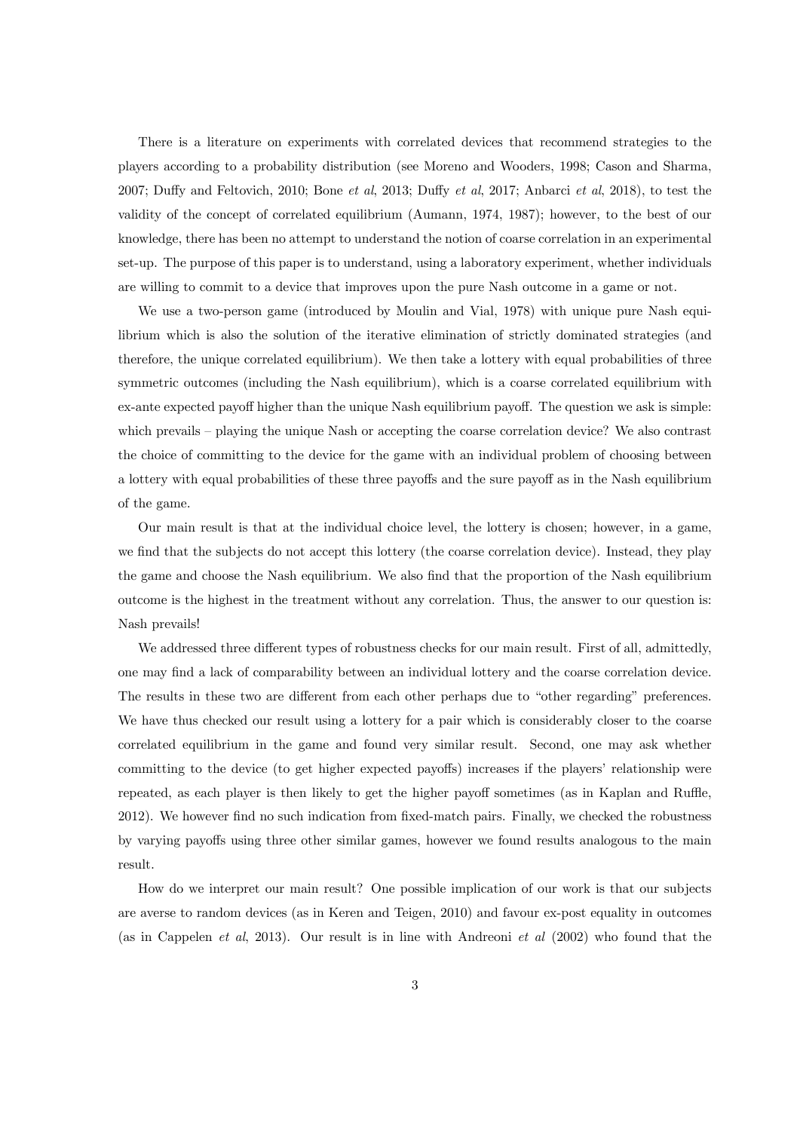There is a literature on experiments with correlated devices that recommend strategies to the players according to a probability distribution (see Moreno and Wooders, 1998; Cason and Sharma, 2007; Duffy and Feltovich, 2010; Bone et al, 2013; Duffy et al, 2017; Anbarci et al, 2018), to test the validity of the concept of correlated equilibrium (Aumann, 1974, 1987); however, to the best of our knowledge, there has been no attempt to understand the notion of coarse correlation in an experimental set-up. The purpose of this paper is to understand, using a laboratory experiment, whether individuals are willing to commit to a device that improves upon the pure Nash outcome in a game or not.

We use a two-person game (introduced by Moulin and Vial, 1978) with unique pure Nash equilibrium which is also the solution of the iterative elimination of strictly dominated strategies (and therefore, the unique correlated equilibrium). We then take a lottery with equal probabilities of three symmetric outcomes (including the Nash equilibrium), which is a coarse correlated equilibrium with ex-ante expected payoff higher than the unique Nash equilibrium payoff. The question we ask is simple: which prevails — playing the unique Nash or accepting the coarse correlation device? We also contrast the choice of committing to the device for the game with an individual problem of choosing between a lottery with equal probabilities of these three payoffs and the sure payoff as in the Nash equilibrium of the game.

Our main result is that at the individual choice level, the lottery is chosen; however, in a game, we find that the subjects do not accept this lottery (the coarse correlation device). Instead, they play the game and choose the Nash equilibrium. We also find that the proportion of the Nash equilibrium outcome is the highest in the treatment without any correlation. Thus, the answer to our question is: Nash prevails!

We addressed three different types of robustness checks for our main result. First of all, admittedly, one may find a lack of comparability between an individual lottery and the coarse correlation device. The results in these two are different from each other perhaps due to "other regarding" preferences. We have thus checked our result using a lottery for a pair which is considerably closer to the coarse correlated equilibrium in the game and found very similar result. Second, one may ask whether committing to the device (to get higher expected payoffs) increases if the players' relationship were repeated, as each player is then likely to get the higher payoff sometimes (as in Kaplan and Ruffle, 2012). We however find no such indication from fixed-match pairs. Finally, we checked the robustness by varying payoffs using three other similar games, however we found results analogous to the main result.

How do we interpret our main result? One possible implication of our work is that our subjects are averse to random devices (as in Keren and Teigen, 2010) and favour ex-post equality in outcomes (as in Cappelen *et al*, 2013). Our result is in line with Andreoni *et al*  $(2002)$  who found that the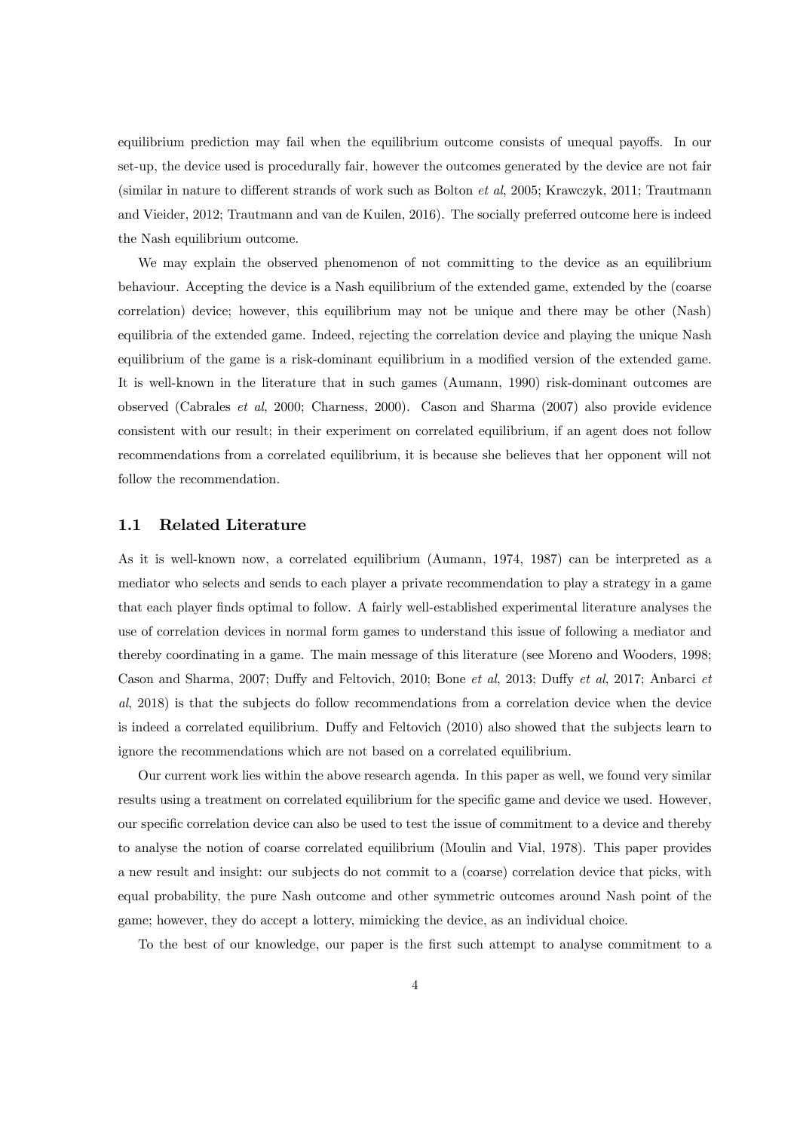equilibrium prediction may fail when the equilibrium outcome consists of unequal payoffs. In our set-up, the device used is procedurally fair, however the outcomes generated by the device are not fair (similar in nature to different strands of work such as Bolton et al, 2005; Krawczyk, 2011; Trautmann and Vieider, 2012; Trautmann and van de Kuilen, 2016). The socially preferred outcome here is indeed the Nash equilibrium outcome.

We may explain the observed phenomenon of not committing to the device as an equilibrium behaviour. Accepting the device is a Nash equilibrium of the extended game, extended by the (coarse correlation) device; however, this equilibrium may not be unique and there may be other (Nash) equilibria of the extended game. Indeed, rejecting the correlation device and playing the unique Nash equilibrium of the game is a risk-dominant equilibrium in a modified version of the extended game. It is well-known in the literature that in such games (Aumann, 1990) risk-dominant outcomes are observed (Cabrales et al, 2000; Charness, 2000). Cason and Sharma (2007) also provide evidence consistent with our result; in their experiment on correlated equilibrium, if an agent does not follow recommendations from a correlated equilibrium, it is because she believes that her opponent will not follow the recommendation.

### 1.1 Related Literature

As it is well-known now, a correlated equilibrium (Aumann, 1974, 1987) can be interpreted as a mediator who selects and sends to each player a private recommendation to play a strategy in a game that each player finds optimal to follow. A fairly well-established experimental literature analyses the use of correlation devices in normal form games to understand this issue of following a mediator and thereby coordinating in a game. The main message of this literature (see Moreno and Wooders, 1998; Cason and Sharma, 2007; Duffy and Feltovich, 2010; Bone et al, 2013; Duffy et al, 2017; Anbarci et al, 2018) is that the subjects do follow recommendations from a correlation device when the device is indeed a correlated equilibrium. Duffy and Feltovich (2010) also showed that the subjects learn to ignore the recommendations which are not based on a correlated equilibrium.

Our current work lies within the above research agenda. In this paper as well, we found very similar results using a treatment on correlated equilibrium for the specific game and device we used. However, our specific correlation device can also be used to test the issue of commitment to a device and thereby to analyse the notion of coarse correlated equilibrium (Moulin and Vial, 1978). This paper provides a new result and insight: our subjects do not commit to a (coarse) correlation device that picks, with equal probability, the pure Nash outcome and other symmetric outcomes around Nash point of the game; however, they do accept a lottery, mimicking the device, as an individual choice.

To the best of our knowledge, our paper is the first such attempt to analyse commitment to a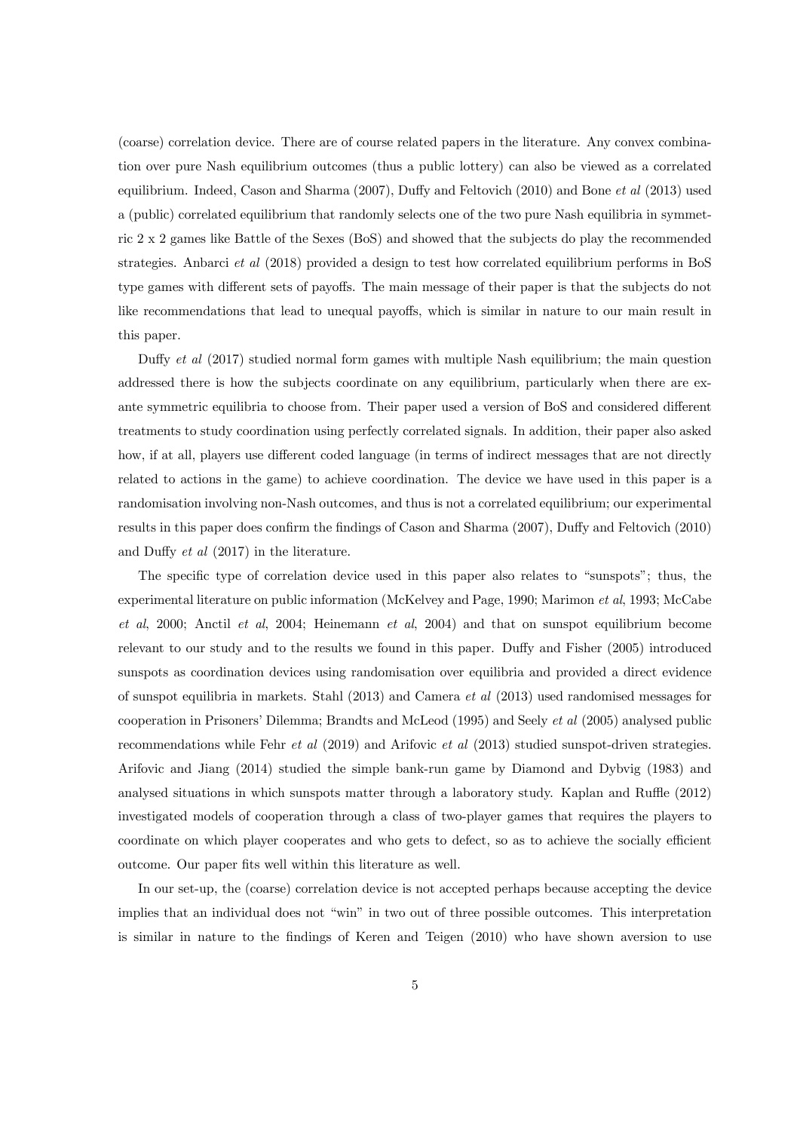(coarse) correlation device. There are of course related papers in the literature. Any convex combination over pure Nash equilibrium outcomes (thus a public lottery) can also be viewed as a correlated equilibrium. Indeed, Cason and Sharma  $(2007)$ , Duffy and Feltovich  $(2010)$  and Bone *et al*  $(2013)$  used a (public) correlated equilibrium that randomly selects one of the two pure Nash equilibria in symmetric 2 x 2 games like Battle of the Sexes (BoS) and showed that the subjects do play the recommended strategies. Anbarci et al (2018) provided a design to test how correlated equilibrium performs in BoS type games with different sets of payoffs. The main message of their paper is that the subjects do not like recommendations that lead to unequal payoffs, which is similar in nature to our main result in this paper.

Duffy et al (2017) studied normal form games with multiple Nash equilibrium; the main question addressed there is how the subjects coordinate on any equilibrium, particularly when there are exante symmetric equilibria to choose from. Their paper used a version of BoS and considered different treatments to study coordination using perfectly correlated signals. In addition, their paper also asked how, if at all, players use different coded language (in terms of indirect messages that are not directly related to actions in the game) to achieve coordination. The device we have used in this paper is a randomisation involving non-Nash outcomes, and thus is not a correlated equilibrium; our experimental results in this paper does confirm the findings of Cason and Sharma (2007), Duffy and Feltovich (2010) and Duffy et al (2017) in the literature.

The specific type of correlation device used in this paper also relates to "sunspots"; thus, the experimental literature on public information (McKelvey and Page, 1990; Marimon et al, 1993; McCabe et al, 2000; Anctil et al, 2004; Heinemann et al, 2004) and that on sunspot equilibrium become relevant to our study and to the results we found in this paper. Duffy and Fisher (2005) introduced sunspots as coordination devices using randomisation over equilibria and provided a direct evidence of sunspot equilibria in markets. Stahl  $(2013)$  and Camera *et al*  $(2013)$  used randomised messages for cooperation in Prisoners' Dilemma; Brandts and McLeod (1995) and Seely et al (2005) analysed public recommendations while Fehr et al (2019) and Arifovic et al (2013) studied sunspot-driven strategies. Arifovic and Jiang (2014) studied the simple bank-run game by Diamond and Dybvig (1983) and analysed situations in which sunspots matter through a laboratory study. Kaplan and Ruffle (2012) investigated models of cooperation through a class of two-player games that requires the players to coordinate on which player cooperates and who gets to defect, so as to achieve the socially efficient outcome. Our paper fits well within this literature as well.

In our set-up, the (coarse) correlation device is not accepted perhaps because accepting the device implies that an individual does not "win" in two out of three possible outcomes. This interpretation is similar in nature to the findings of Keren and Teigen (2010) who have shown aversion to use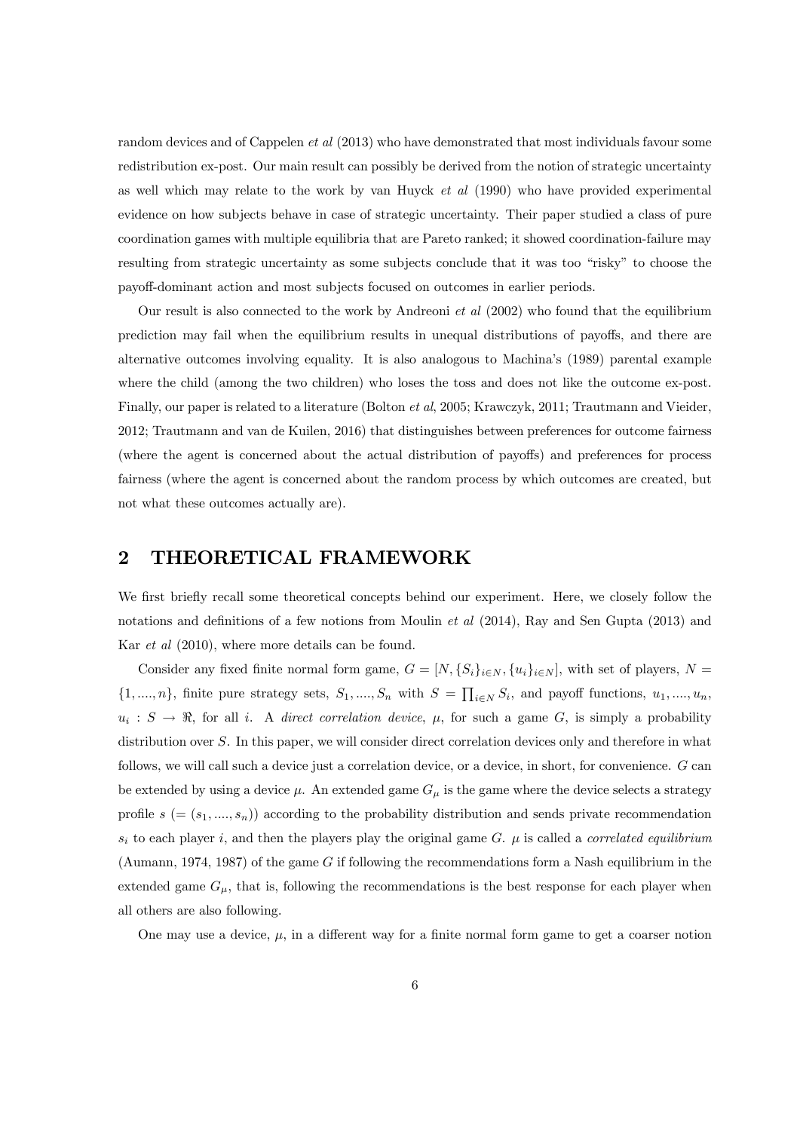random devices and of Cappelen et al (2013) who have demonstrated that most individuals favour some redistribution ex-post. Our main result can possibly be derived from the notion of strategic uncertainty as well which may relate to the work by van Huyck  $et \, al \, (1990)$  who have provided experimental evidence on how subjects behave in case of strategic uncertainty. Their paper studied a class of pure coordination games with multiple equilibria that are Pareto ranked; it showed coordination-failure may resulting from strategic uncertainty as some subjects conclude that it was too "risky" to choose the payoff-dominant action and most subjects focused on outcomes in earlier periods.

Our result is also connected to the work by Andreoni *et al*  $(2002)$  who found that the equilibrium prediction may fail when the equilibrium results in unequal distributions of payoffs, and there are alternative outcomes involving equality. It is also analogous to Machina's (1989) parental example where the child (among the two children) who loses the toss and does not like the outcome ex-post. Finally, our paper is related to a literature (Bolton et al, 2005; Krawczyk, 2011; Trautmann and Vieider, 2012; Trautmann and van de Kuilen, 2016) that distinguishes between preferences for outcome fairness (where the agent is concerned about the actual distribution of payoffs) and preferences for process fairness (where the agent is concerned about the random process by which outcomes are created, but not what these outcomes actually are).

## 2 THEORETICAL FRAMEWORK

We first briefly recall some theoretical concepts behind our experiment. Here, we closely follow the notations and definitions of a few notions from Moulin *et al* (2014), Ray and Sen Gupta (2013) and Kar et al (2010), where more details can be found.

Consider any fixed finite normal form game,  $G = [N, \{S_i\}_{i \in N}, \{u_i\}_{i \in N}]$ , with set of players,  $N =$  $\{1, ..., n\}$ , finite pure strategy sets,  $S_1, ..., S_n$  with  $S = \prod_{i \in N} S_i$ , and payoff functions,  $u_1, ..., u_n$ ,  $u_i : S \to \mathbb{R}$ , for all i. A direct correlation device,  $\mu$ , for such a game G, is simply a probability distribution over  $S$ . In this paper, we will consider direct correlation devices only and therefore in what follows, we will call such a device just a correlation device, or a device, in short, for convenience. G can be extended by using a device  $\mu$ . An extended game  $G_{\mu}$  is the game where the device selects a strategy profile  $s (= (s_1, ..., s_n))$  according to the probability distribution and sends private recommendation  $s_i$  to each player i, and then the players play the original game G.  $\mu$  is called a *correlated equilibrium* (Aumann, 1974, 1987) of the game  $G$  if following the recommendations form a Nash equilibrium in the extended game  $G_{\mu}$ , that is, following the recommendations is the best response for each player when all others are also following.

One may use a device,  $\mu$ , in a different way for a finite normal form game to get a coarser notion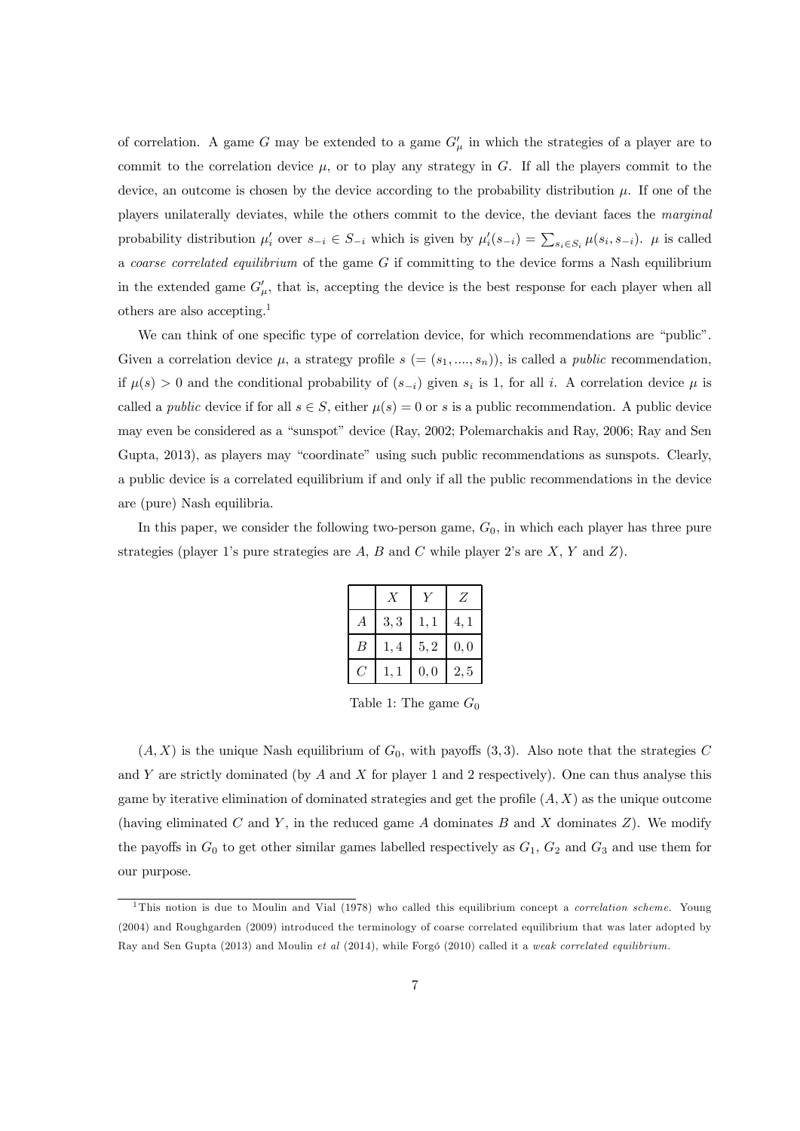of correlation. A game G may be extended to a game  $G'_{\mu}$  in which the strategies of a player are to commit to the correlation device  $\mu$ , or to play any strategy in G. If all the players commit to the device, an outcome is chosen by the device according to the probability distribution  $\mu$ . If one of the players unilaterally deviates, while the others commit to the device, the deviant faces the marginal probability distribution  $\mu'_i$  over  $s_{-i} \in S_{-i}$  which is given by  $\mu'_i(s_{-i}) = \sum_{s_i \in S_i} \mu(s_i, s_{-i})$ .  $\mu$  is called a coarse correlated equilibrium of the game  $G$  if committing to the device forms a Nash equilibrium in the extended game  $G'_{\mu}$ , that is, accepting the device is the best response for each player when all others are also accepting.<sup>1</sup>

We can think of one specific type of correlation device, for which recommendations are "public". Given a correlation device  $\mu$ , a strategy profile  $s (= (s_1, ..., s_n))$ , is called a *public* recommendation, if  $\mu(s) > 0$  and the conditional probability of  $(s_{-i})$  given  $s_i$  is 1, for all i. A correlation device  $\mu$  is called a *public* device if for all  $s \in S$ , either  $\mu(s)=0$  or s is a public recommendation. A public device may even be considered as a "sunspot" device (Ray, 2002; Polemarchakis and Ray, 2006; Ray and Sen Gupta, 2013), as players may "coordinate" using such public recommendations as sunspots. Clearly, a public device is a correlated equilibrium if and only if all the public recommendations in the device are (pure) Nash equilibria.

In this paper, we consider the following two-person game,  $G_0$ , in which each player has three pure strategies (player 1's pure strategies are  $A, B$  and  $C$  while player 2's are  $X, Y$  and  $Z$ ).

|    | X    |      | Z    |
|----|------|------|------|
| А  | 3,3  | 1, 1 | 4, 1 |
| В  | 1,4  | 5, 2 | 0, 0 |
| ε, | 1, 1 | 0,0  | 2, 5 |

Table 1: The game  $G_0$ 

 $(A, X)$  is the unique Nash equilibrium of  $G_0$ , with payoffs  $(3, 3)$ . Also note that the strategies C and  $Y$  are strictly dominated (by  $A$  and  $X$  for player 1 and 2 respectively). One can thus analyse this game by iterative elimination of dominated strategies and get the profile  $(A, X)$  as the unique outcome (having eliminated  $C$  and  $Y$ , in the reduced game  $A$  dominates  $B$  and  $X$  dominates  $Z$ ). We modify the payoffs in  $G_0$  to get other similar games labelled respectively as  $G_1$ ,  $G_2$  and  $G_3$  and use them for our purpose.

<sup>&</sup>lt;sup>1</sup>This notion is due to Moulin and Vial (1978) who called this equilibrium concept a *correlation scheme*. Young (2004) and Roughgarden (2009) introduced the terminology of coarse correlated equilibrium that was later adopted by Ray and Sen Gupta (2013) and Moulin et al (2014), while Forgó (2010) called it a weak correlated equilibrium.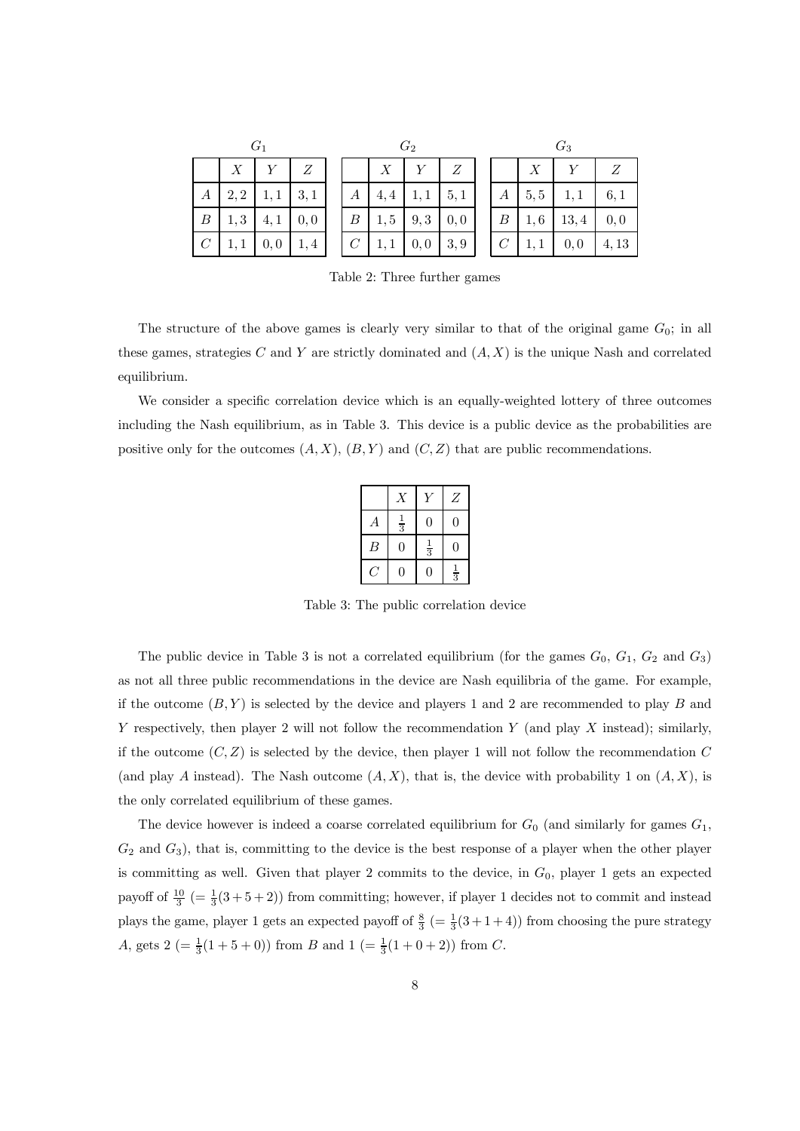|                  |      | $G_1$ |     | $G_2$            |      |      |     |  | $G_3$            |      |       |       |
|------------------|------|-------|-----|------------------|------|------|-----|--|------------------|------|-------|-------|
|                  | X    |       | Ζ   |                  | Χ    |      | Z   |  |                  | X    |       | Ζ     |
| $\overline{A}$   | 2,2  | 1,1   | 3,1 | $\boldsymbol{A}$ | 4,4  | 1,1  | 5,1 |  | $\boldsymbol{A}$ | 5, 5 | 1,1   | 6,1   |
| $\boldsymbol{B}$ | 1, 3 | 4,1   | 0,0 | В                | 1, 5 | 9,3  | 0,0 |  | $\boldsymbol{B}$ | 1,6  | 13, 4 | 0, 0  |
| $\mathcal{C}$    |      | 0, 0  | 1,4 | $\overline{C}$   | 1,1  | 0, 0 | 3,9 |  | $\overline{C}$   |      | 0, 0  | 4, 13 |

Table 2: Three further games

The structure of the above games is clearly very similar to that of the original game  $G_0$ ; in all these games, strategies  $C$  and  $Y$  are strictly dominated and  $(A, X)$  is the unique Nash and correlated equilibrium.

We consider a specific correlation device which is an equally-weighted lottery of three outcomes including the Nash equilibrium, as in Table 3. This device is a public device as the probabilities are positive only for the outcomes  $(A, X)$ ,  $(B, Y)$  and  $(C, Z)$  that are public recommendations.

|                  | $\overline{X}$ | Υ                | Ζ             |
|------------------|----------------|------------------|---------------|
| $\boldsymbol{A}$ | $\frac{1}{3}$  | $\boldsymbol{0}$ | 0             |
| $\boldsymbol{B}$ | 0              | $\frac{1}{3}$    | 0             |
| , y              | 0              | 0                | $\frac{1}{3}$ |

Table 3: The public correlation device

The public device in Table 3 is not a correlated equilibrium (for the games  $G_0, G_1, G_2$  and  $G_3$ ) as not all three public recommendations in the device are Nash equilibria of the game. For example, if the outcome  $(B, Y)$  is selected by the device and players 1 and 2 are recommended to play B and  $Y$  respectively, then player 2 will not follow the recommendation  $Y$  (and play  $X$  instead); similarly, if the outcome  $(C, Z)$  is selected by the device, then player 1 will not follow the recommendation C (and play A instead). The Nash outcome  $(A, X)$ , that is, the device with probability 1 on  $(A, X)$ , is the only correlated equilibrium of these games.

The device however is indeed a coarse correlated equilibrium for  $G_0$  (and similarly for games  $G_1$ ,  $G_2$  and  $G_3$ ), that is, committing to the device is the best response of a player when the other player is committing as well. Given that player 2 commits to the device, in  $G_0$ , player 1 gets an expected payoff of  $\frac{10}{3}$  (=  $\frac{1}{3}(3+5+2)$ ) from committing; however, if player 1 decides not to commit and instead plays the game, player 1 gets an expected payoff of  $\frac{8}{3}$  (=  $\frac{1}{3}(3+1+4)$ ) from choosing the pure strategy A, gets 2 (= $\frac{1}{3}(1+5+0)$ ) from B and 1 (= $\frac{1}{3}(1+0+2)$ ) from C.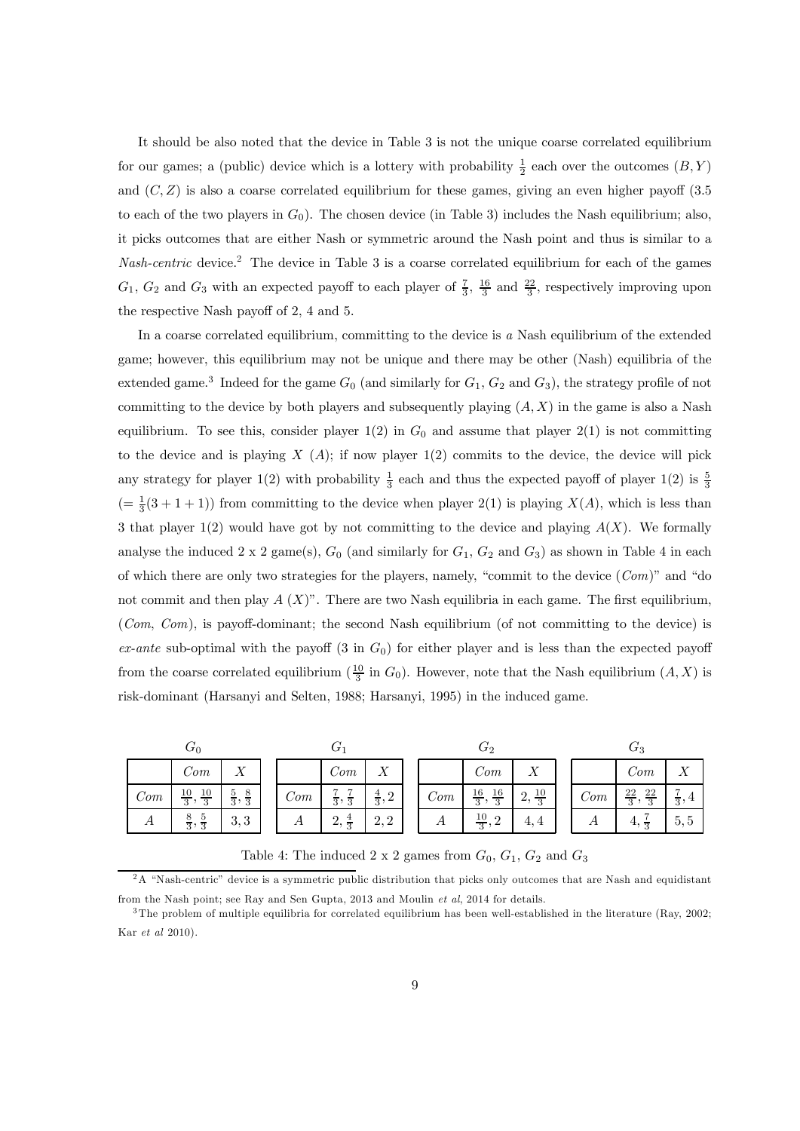It should be also noted that the device in Table 3 is not the unique coarse correlated equilibrium for our games; a (public) device which is a lottery with probability  $\frac{1}{2}$  each over the outcomes  $(B, Y)$ and  $(C, Z)$  is also a coarse correlated equilibrium for these games, giving an even higher payoff  $(3.5)$ to each of the two players in  $G_0$ ). The chosen device (in Table 3) includes the Nash equilibrium; also, it picks outcomes that are either Nash or symmetric around the Nash point and thus is similar to a Nash-centric device.<sup>2</sup> The device in Table 3 is a coarse correlated equilibrium for each of the games  $G_1, G_2$  and  $G_3$  with an expected payoff to each player of  $\frac{7}{3}$ ,  $\frac{16}{3}$  and  $\frac{22}{3}$ , respectively improving upon the respective Nash payoff of 2, 4 and 5.

In a coarse correlated equilibrium, committing to the device is a Nash equilibrium of the extended game; however, this equilibrium may not be unique and there may be other (Nash) equilibria of the extended game.<sup>3</sup> Indeed for the game  $G_0$  (and similarly for  $G_1$ ,  $G_2$  and  $G_3$ ), the strategy profile of not committing to the device by both players and subsequently playing  $(A, X)$  in the game is also a Nash equilibrium. To see this, consider player  $1(2)$  in  $G_0$  and assume that player  $2(1)$  is not committing to the device and is playing  $X(A)$ ; if now player 1(2) commits to the device, the device will pick any strategy for player 1(2) with probability  $\frac{1}{3}$  each and thus the expected payoff of player 1(2) is  $\frac{5}{3}$  $(=\frac{1}{3}(3+1+1))$  from committing to the device when player 2(1) is playing  $X(A)$ , which is less than 3 that player 1(2) would have got by not committing to the device and playing  $A(X)$ . We formally analyse the induced  $2 \times 2$  game(s),  $G_0$  (and similarly for  $G_1$ ,  $G_2$  and  $G_3$ ) as shown in Table 4 in each of which there are only two strategies for the players, namely, "commit to the device  $(Com)$ " and "do not commit and then play  $A(X)$ ". There are two Nash equilibria in each game. The first equilibrium, (Com, Com), is payoff-dominant; the second Nash equilibrium (of not committing to the device) is ex-ante sub-optimal with the payoff  $(3 \text{ in } G_0)$  for either player and is less than the expected payoff from the coarse correlated equilibrium  $(\frac{10}{3}$  in  $G_0)$ . However, note that the Nash equilibrium  $(A, X)$  is risk-dominant (Harsanyi and Selten, 1988; Harsanyi, 1995) in the induced game.

|     | $G_{0}$                           |                                                  |                            | G 1                                |                                       |     | G <sub>2</sub>                                 |                                        |     | G3                                |                              |
|-----|-----------------------------------|--------------------------------------------------|----------------------------|------------------------------------|---------------------------------------|-----|------------------------------------------------|----------------------------------------|-----|-----------------------------------|------------------------------|
|     | Com                               | T<br>Λ                                           |                            | Com                                | T<br>$\Lambda$                        |     | Com                                            | $\tau$<br>∡⊾                           |     | Com                               | ∡⊾                           |
| Com | 10<br>10<br>$\overline{3}$ :<br>3 | $\frac{5}{3}, \frac{8}{3}$                       | Com                        | $\overline{3}$ ,<br>$\overline{3}$ | $\Omega$<br>$\frac{4}{3}$ ,<br>↵      | Com | 16<br>16<br>$\overline{3}$<br>$\overline{3}$ , | 10<br>$\Omega$<br>$\overline{3}$<br>Δ, | Com | 22<br>22<br>$\overline{3}$ ,<br>3 | ь<br>$\overline{3}$          |
| A   | $\frac{8}{3}$<br>$\frac{5}{3}$    | $\Omega$<br>$\mathbf{Q}$<br>$\upsilon, \upsilon$ | $\boldsymbol{\mathcal{A}}$ | $2,\frac{4}{3}$<br>$\Omega$        | ററ<br>$\overline{a}$ , $\overline{a}$ | А   | $\frac{10}{3}$ ,<br>$\Omega$<br>↵              | 4,<br>$\mathbf{H}$                     | A   | $4, \frac{1}{2}$                  | $\mathfrak{b}, \mathfrak{b}$ |

Table 4: The induced 2 x 2 games from  $G_0$ ,  $G_1$ ,  $G_2$  and  $G_3$ 

<sup>&</sup>lt;sup>2</sup>A "Nash-centric" device is a symmetric public distribution that picks only outcomes that are Nash and equidistant from the Nash point; see Ray and Sen Gupta, 2013 and Moulin et al, 2014 for details.

 $3$ The problem of multiple equilibria for correlated equilibrium has been well-established in the literature (Ray, 2002; Kar et al 2010).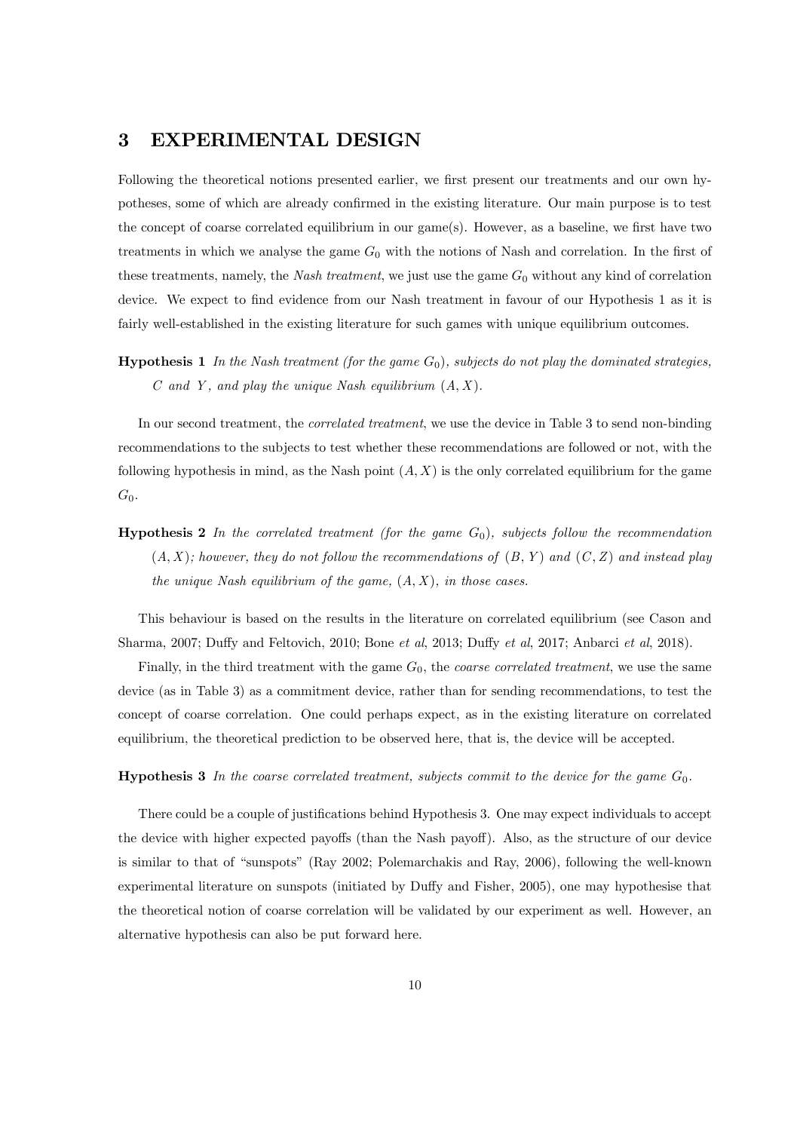## 3 EXPERIMENTAL DESIGN

Following the theoretical notions presented earlier, we first present our treatments and our own hypotheses, some of which are already confirmed in the existing literature. Our main purpose is to test the concept of coarse correlated equilibrium in our game(s). However, as a baseline, we first have two treatments in which we analyse the game  $G_0$  with the notions of Nash and correlation. In the first of these treatments, namely, the Nash treatment, we just use the game  $G_0$  without any kind of correlation device. We expect to find evidence from our Nash treatment in favour of our Hypothesis 1 as it is fairly well-established in the existing literature for such games with unique equilibrium outcomes.

**Hypothesis 1** In the Nash treatment (for the game  $G_0$ ), subjects do not play the dominated strategies, C and Y, and play the unique Nash equilibrium  $(A, X)$ .

In our second treatment, the *correlated treatment*, we use the device in Table 3 to send non-binding recommendations to the subjects to test whether these recommendations are followed or not, with the following hypothesis in mind, as the Nash point  $(A, X)$  is the only correlated equilibrium for the game  $G_0$ .

**Hypothesis 2** In the correlated treatment (for the game  $G_0$ ), subjects follow the recommendation  $(A, X)$ ; however, they do not follow the recommendations of  $(B, Y)$  and  $(C, Z)$  and instead play the unique Nash equilibrium of the game,  $(A, X)$ , in those cases.

This behaviour is based on the results in the literature on correlated equilibrium (see Cason and Sharma, 2007; Duffy and Feltovich, 2010; Bone et al, 2013; Duffy et al, 2017; Anbarci et al, 2018).

Finally, in the third treatment with the game  $G_0$ , the *coarse correlated treatment*, we use the same device (as in Table 3) as a commitment device, rather than for sending recommendations, to test the concept of coarse correlation. One could perhaps expect, as in the existing literature on correlated equilibrium, the theoretical prediction to be observed here, that is, the device will be accepted.

**Hypothesis 3** In the coarse correlated treatment, subjects commit to the device for the game  $G_0$ .

There could be a couple of justifications behind Hypothesis 3. One may expect individuals to accept the device with higher expected payoffs (than the Nash payoff). Also, as the structure of our device is similar to that of "sunspots" (Ray 2002; Polemarchakis and Ray, 2006), following the well-known experimental literature on sunspots (initiated by Duffy and Fisher, 2005), one may hypothesise that the theoretical notion of coarse correlation will be validated by our experiment as well. However, an alternative hypothesis can also be put forward here.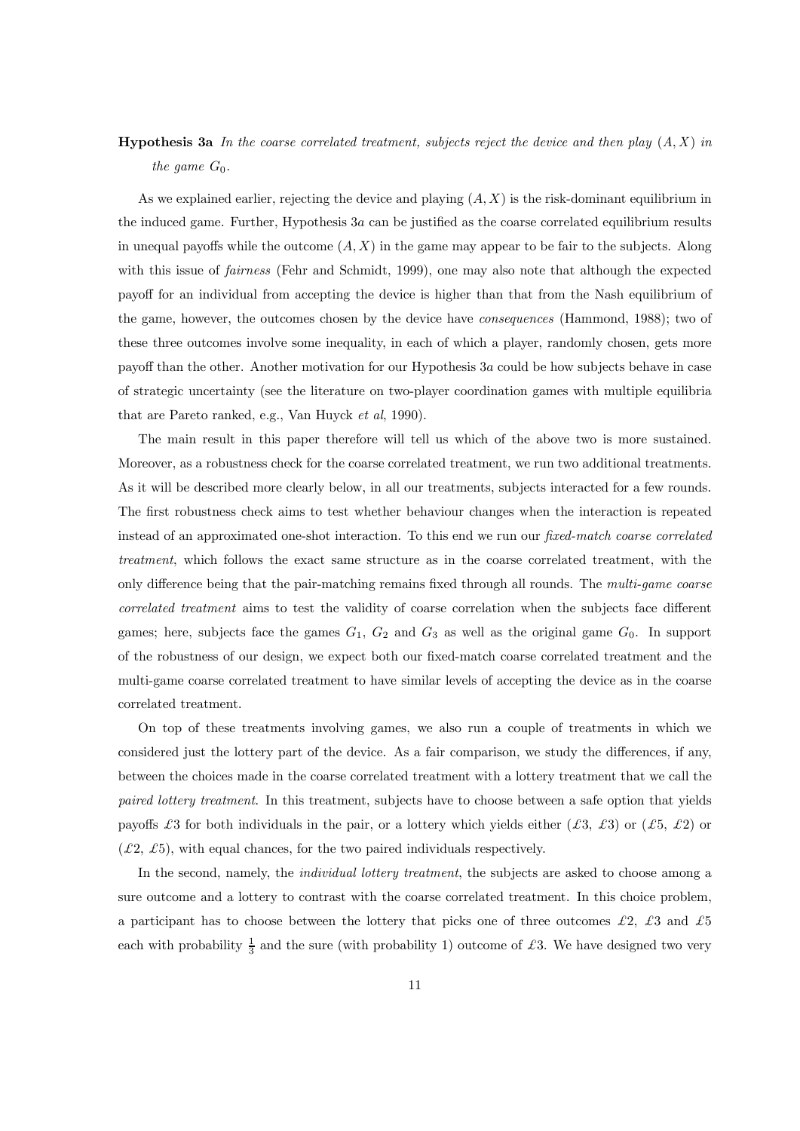## **Hypothesis 3a** In the coarse correlated treatment, subjects reject the device and then play  $(A, X)$  in the game  $G_0$ .

As we explained earlier, rejecting the device and playing  $(A, X)$  is the risk-dominant equilibrium in the induced game. Further, Hypothesis  $3a$  can be justified as the coarse correlated equilibrium results in unequal payoffs while the outcome  $(A, X)$  in the game may appear to be fair to the subjects. Along with this issue of *fairness* (Fehr and Schmidt, 1999), one may also note that although the expected payoff for an individual from accepting the device is higher than that from the Nash equilibrium of the game, however, the outcomes chosen by the device have consequences (Hammond, 1988); two of these three outcomes involve some inequality, in each of which a player, randomly chosen, gets more payoff than the other. Another motivation for our Hypothesis 3a could be how subjects behave in case of strategic uncertainty (see the literature on two-player coordination games with multiple equilibria that are Pareto ranked, e.g., Van Huyck et al, 1990).

The main result in this paper therefore will tell us which of the above two is more sustained. Moreover, as a robustness check for the coarse correlated treatment, we run two additional treatments. As it will be described more clearly below, in all our treatments, subjects interacted for a few rounds. The first robustness check aims to test whether behaviour changes when the interaction is repeated instead of an approximated one-shot interaction. To this end we run our fixed-match coarse correlated treatment, which follows the exact same structure as in the coarse correlated treatment, with the only difference being that the pair-matching remains fixed through all rounds. The multi-game coarse correlated treatment aims to test the validity of coarse correlation when the subjects face different games; here, subjects face the games  $G_1$ ,  $G_2$  and  $G_3$  as well as the original game  $G_0$ . In support of the robustness of our design, we expect both our fixed-match coarse correlated treatment and the multi-game coarse correlated treatment to have similar levels of accepting the device as in the coarse correlated treatment.

On top of these treatments involving games, we also run a couple of treatments in which we considered just the lottery part of the device. As a fair comparison, we study the differences, if any, between the choices made in the coarse correlated treatment with a lottery treatment that we call the paired lottery treatment. In this treatment, subjects have to choose between a safe option that yields payoffs  $\mathcal{L}3$  for both individuals in the pair, or a lottery which yields either  $(\mathcal{L}3, \mathcal{L}3)$  or  $(\mathcal{L}5, \mathcal{L}2)$  or  $(\text{\textsterling}2, \text{\textsterling}5)$ , with equal chances, for the two paired individuals respectively.

In the second, namely, the individual lottery treatment, the subjects are asked to choose among a sure outcome and a lottery to contrast with the coarse correlated treatment. In this choice problem, a participant has to choose between the lottery that picks one of three outcomes  $\mathcal{L}2$ ,  $\mathcal{L}3$  and  $\mathcal{L}5$ each with probability  $\frac{1}{3}$  and the sure (with probability 1) outcome of £3. We have designed two very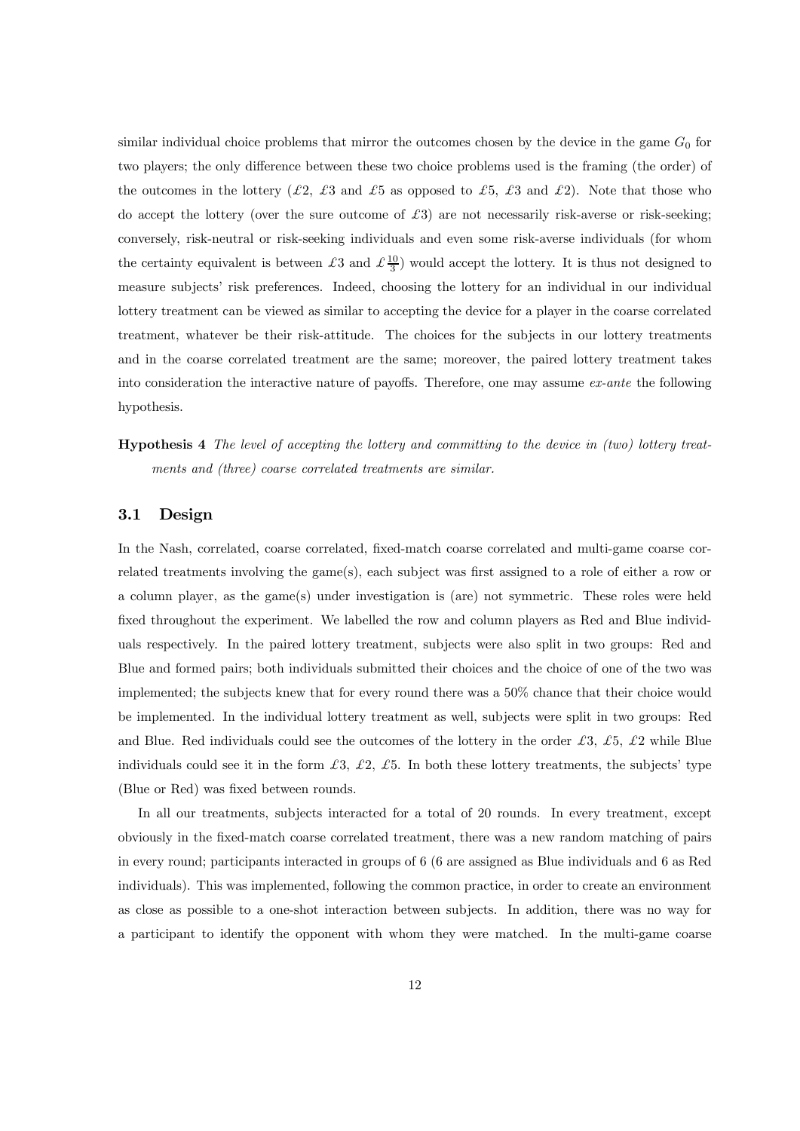similar individual choice problems that mirror the outcomes chosen by the device in the game  $G_0$  for two players; the only difference between these two choice problems used is the framing (the order) of the outcomes in the lottery (£2, £3 and £5 as opposed to £5, £3 and £2). Note that those who do accept the lottery (over the sure outcome of  $\mathcal{L}3$ ) are not necessarily risk-averse or risk-seeking; conversely, risk-neutral or risk-seeking individuals and even some risk-averse individuals (for whom the certainty equivalent is between  $\mathcal{L}3$  and  $\mathcal{L}\frac{10}{3}$  would accept the lottery. It is thus not designed to measure subjects' risk preferences. Indeed, choosing the lottery for an individual in our individual lottery treatment can be viewed as similar to accepting the device for a player in the coarse correlated treatment, whatever be their risk-attitude. The choices for the subjects in our lottery treatments and in the coarse correlated treatment are the same; moreover, the paired lottery treatment takes into consideration the interactive nature of payoffs. Therefore, one may assume  $ex$ -ante the following hypothesis.

Hypothesis 4 The level of accepting the lottery and committing to the device in (two) lottery treatments and (three) coarse correlated treatments are similar.

### 3.1 Design

In the Nash, correlated, coarse correlated, fixed-match coarse correlated and multi-game coarse correlated treatments involving the game(s), each subject was first assigned to a role of either a row or a column player, as the game(s) under investigation is (are) not symmetric. These roles were held fixed throughout the experiment. We labelled the row and column players as Red and Blue individuals respectively. In the paired lottery treatment, subjects were also split in two groups: Red and Blue and formed pairs; both individuals submitted their choices and the choice of one of the two was implemented; the subjects knew that for every round there was a 50% chance that their choice would be implemented. In the individual lottery treatment as well, subjects were split in two groups: Red and Blue. Red individuals could see the outcomes of the lottery in the order £3, £5, £2 while Blue individuals could see it in the form  $\mathcal{L}3$ ,  $\mathcal{L}2$ ,  $\mathcal{L}5$ . In both these lottery treatments, the subjects' type (Blue or Red) was fixed between rounds.

In all our treatments, subjects interacted for a total of 20 rounds. In every treatment, except obviously in the fixed-match coarse correlated treatment, there was a new random matching of pairs in every round; participants interacted in groups of 6 (6 are assigned as Blue individuals and 6 as Red individuals). This was implemented, following the common practice, in order to create an environment as close as possible to a one-shot interaction between subjects. In addition, there was no way for a participant to identify the opponent with whom they were matched. In the multi-game coarse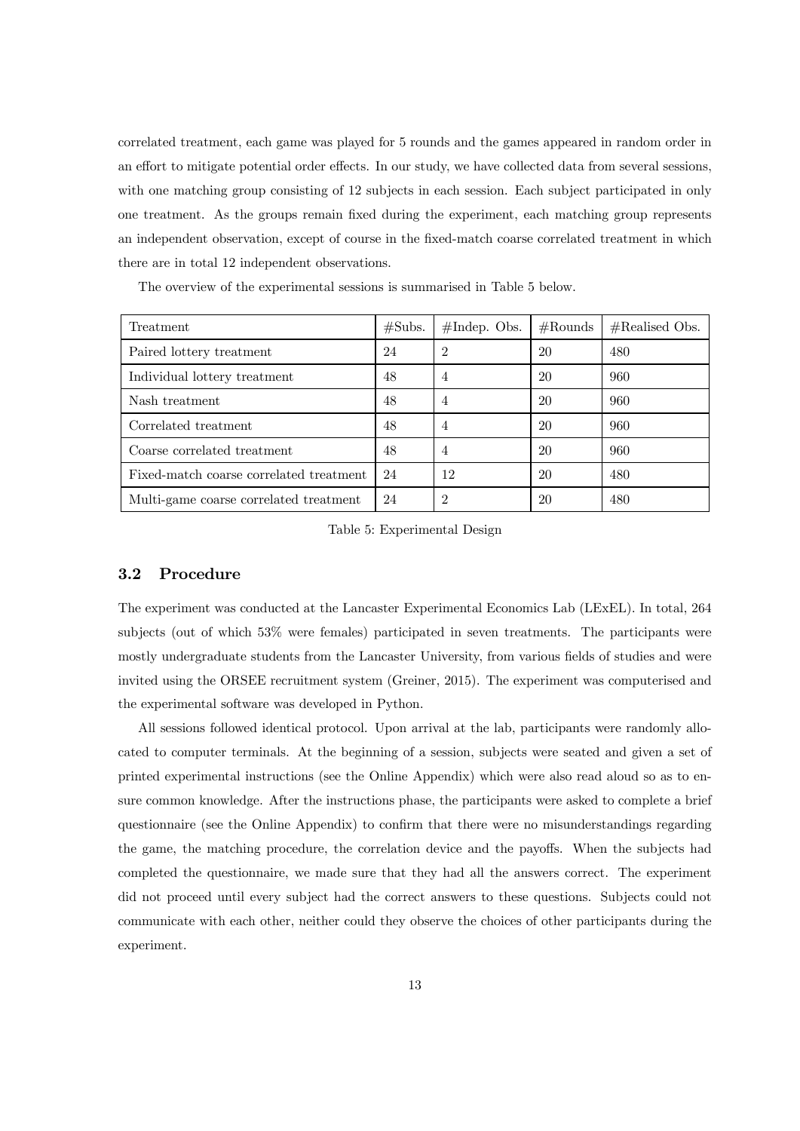correlated treatment, each game was played for 5 rounds and the games appeared in random order in an effort to mitigate potential order effects. In our study, we have collected data from several sessions, with one matching group consisting of 12 subjects in each session. Each subject participated in only one treatment. As the groups remain fixed during the experiment, each matching group represents an independent observation, except of course in the fixed-match coarse correlated treatment in which there are in total 12 independent observations.

| Treatment                               | #Subs. | $#$ Indep. Obs. | $#$ Rounds | $\#\text{Realised Obs.}$ |
|-----------------------------------------|--------|-----------------|------------|--------------------------|
| Paired lottery treatment                | 24     | $\overline{2}$  | 20         | 480                      |
| Individual lottery treatment            | 48     | 4               | 20         | 960                      |
| Nash treatment                          | 48     | 4               | 20         | 960                      |
| Correlated treatment                    | 48     | $\overline{4}$  | 20         | 960                      |
| Coarse correlated treatment             | 48     | 4               | 20         | 960                      |
| Fixed-match coarse correlated treatment | 24     | 12              | 20         | 480                      |
| Multi-game coarse correlated treatment  | 24     | 2               | 20         | 480                      |

The overview of the experimental sessions is summarised in Table 5 below.

Table 5: Experimental Design

## 3.2 Procedure

The experiment was conducted at the Lancaster Experimental Economics Lab (LExEL). In total, 264 subjects (out of which 53% were females) participated in seven treatments. The participants were mostly undergraduate students from the Lancaster University, from various fields of studies and were invited using the ORSEE recruitment system (Greiner, 2015). The experiment was computerised and the experimental software was developed in Python.

All sessions followed identical protocol. Upon arrival at the lab, participants were randomly allocated to computer terminals. At the beginning of a session, subjects were seated and given a set of printed experimental instructions (see the Online Appendix) which were also read aloud so as to ensure common knowledge. After the instructions phase, the participants were asked to complete a brief questionnaire (see the Online Appendix) to confirm that there were no misunderstandings regarding the game, the matching procedure, the correlation device and the payoffs. When the subjects had completed the questionnaire, we made sure that they had all the answers correct. The experiment did not proceed until every subject had the correct answers to these questions. Subjects could not communicate with each other, neither could they observe the choices of other participants during the experiment.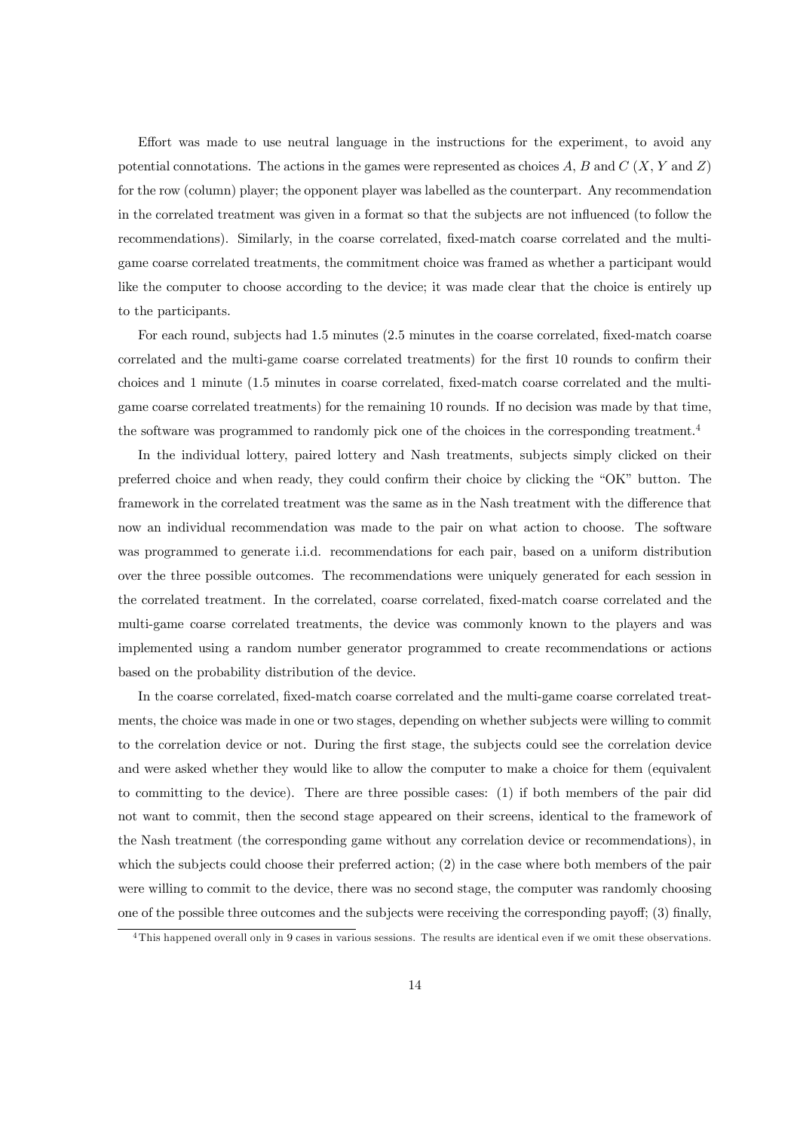Effort was made to use neutral language in the instructions for the experiment, to avoid any potential connotations. The actions in the games were represented as choices  $A, B$  and  $C(X, Y, A)$ for the row (column) player; the opponent player was labelled as the counterpart. Any recommendation in the correlated treatment was given in a format so that the subjects are not influenced (to follow the recommendations). Similarly, in the coarse correlated, fixed-match coarse correlated and the multigame coarse correlated treatments, the commitment choice was framed as whether a participant would like the computer to choose according to the device; it was made clear that the choice is entirely up to the participants.

For each round, subjects had 15 minutes (25 minutes in the coarse correlated, fixed-match coarse correlated and the multi-game coarse correlated treatments) for the first 10 rounds to confirm their choices and 1 minute (15 minutes in coarse correlated, fixed-match coarse correlated and the multigame coarse correlated treatments) for the remaining 10 rounds. If no decision was made by that time, the software was programmed to randomly pick one of the choices in the corresponding treatment.<sup>4</sup>

In the individual lottery, paired lottery and Nash treatments, subjects simply clicked on their preferred choice and when ready, they could confirm their choice by clicking the "OK" button. The framework in the correlated treatment was the same as in the Nash treatment with the difference that now an individual recommendation was made to the pair on what action to choose. The software was programmed to generate i.i.d. recommendations for each pair, based on a uniform distribution over the three possible outcomes. The recommendations were uniquely generated for each session in the correlated treatment. In the correlated, coarse correlated, fixed-match coarse correlated and the multi-game coarse correlated treatments, the device was commonly known to the players and was implemented using a random number generator programmed to create recommendations or actions based on the probability distribution of the device.

In the coarse correlated, fixed-match coarse correlated and the multi-game coarse correlated treatments, the choice was made in one or two stages, depending on whether subjects were willing to commit to the correlation device or not. During the first stage, the subjects could see the correlation device and were asked whether they would like to allow the computer to make a choice for them (equivalent to committing to the device). There are three possible cases: (1) if both members of the pair did not want to commit, then the second stage appeared on their screens, identical to the framework of the Nash treatment (the corresponding game without any correlation device or recommendations), in which the subjects could choose their preferred action; (2) in the case where both members of the pair were willing to commit to the device, there was no second stage, the computer was randomly choosing one of the possible three outcomes and the subjects were receiving the corresponding payoff; (3) finally,

<sup>&</sup>lt;sup>4</sup>This happened overall only in 9 cases in various sessions. The results are identical even if we omit these observations.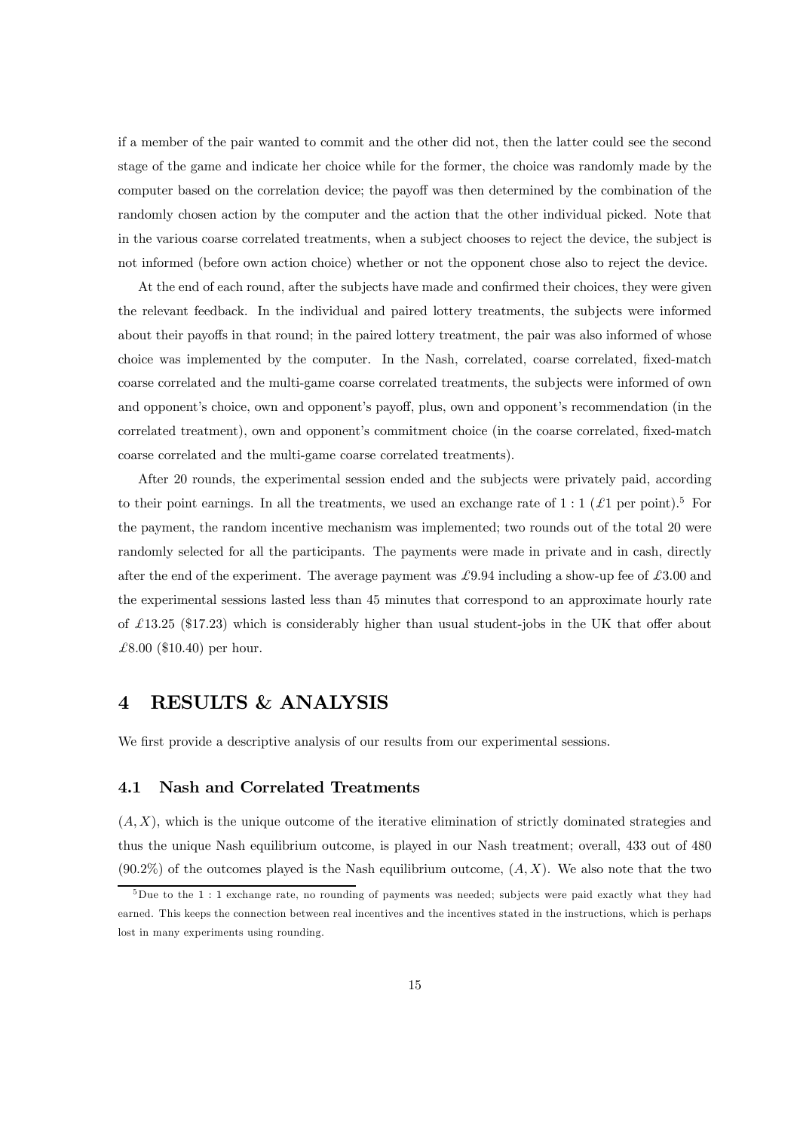if a member of the pair wanted to commit and the other did not, then the latter could see the second stage of the game and indicate her choice while for the former, the choice was randomly made by the computer based on the correlation device; the payoff was then determined by the combination of the randomly chosen action by the computer and the action that the other individual picked. Note that in the various coarse correlated treatments, when a subject chooses to reject the device, the subject is not informed (before own action choice) whether or not the opponent chose also to reject the device.

At the end of each round, after the subjects have made and confirmed their choices, they were given the relevant feedback. In the individual and paired lottery treatments, the subjects were informed about their payoffs in that round; in the paired lottery treatment, the pair was also informed of whose choice was implemented by the computer. In the Nash, correlated, coarse correlated, fixed-match coarse correlated and the multi-game coarse correlated treatments, the subjects were informed of own and opponent's choice, own and opponent's payoff, plus, own and opponent's recommendation (in the correlated treatment), own and opponent's commitment choice (in the coarse correlated, fixed-match coarse correlated and the multi-game coarse correlated treatments).

After 20 rounds, the experimental session ended and the subjects were privately paid, according to their point earnings. In all the treatments, we used an exchange rate of 1:1 ( $\pounds$ 1 per point).<sup>5</sup> For the payment, the random incentive mechanism was implemented; two rounds out of the total 20 were randomly selected for all the participants. The payments were made in private and in cash, directly after the end of the experiment. The average payment was £9.94 including a show-up fee of £3.00 and the experimental sessions lasted less than 45 minutes that correspond to an approximate hourly rate of £1325 (\$1723) which is considerably higher than usual student-jobs in the UK that offer about £8.00 (\$10.40) per hour.

# 4 RESULTS & ANALYSIS

We first provide a descriptive analysis of our results from our experimental sessions.

#### 4.1 Nash and Correlated Treatments

 $(A, X)$ , which is the unique outcome of the iterative elimination of strictly dominated strategies and thus the unique Nash equilibrium outcome, is played in our Nash treatment; overall, 433 out of 480  $(90.2\%)$  of the outcomes played is the Nash equilibrium outcome,  $(A, X)$ . We also note that the two

 $5$ Due to the 1:1 exchange rate, no rounding of payments was needed; subjects were paid exactly what they had earned. This keeps the connection between real incentives and the incentives stated in the instructions, which is perhaps lost in many experiments using rounding.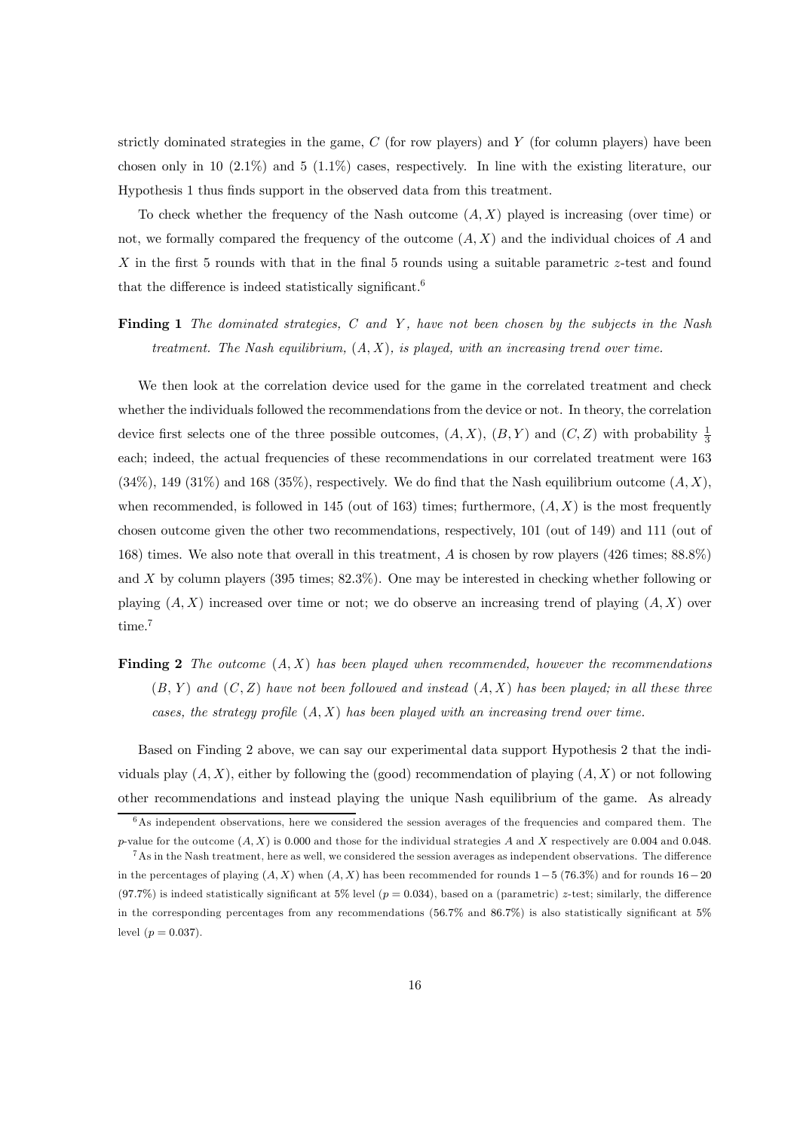strictly dominated strategies in the game,  $C$  (for row players) and  $Y$  (for column players) have been chosen only in 10 (21%) and 5 (11%) cases, respectively. In line with the existing literature, our Hypothesis 1 thus finds support in the observed data from this treatment.

To check whether the frequency of the Nash outcome  $(A, X)$  played is increasing (over time) or not, we formally compared the frequency of the outcome  $(A, X)$  and the individual choices of A and X in the first 5 rounds with that in the final 5 rounds using a suitable parametric z-test and found that the difference is indeed statistically significant.6

## Finding 1 The dominated strategies, C and Y, have not been chosen by the subjects in the Nash treatment. The Nash equilibrium,  $(A, X)$ , is played, with an increasing trend over time.

We then look at the correlation device used for the game in the correlated treatment and check whether the individuals followed the recommendations from the device or not. In theory, the correlation device first selects one of the three possible outcomes,  $(A, X)$ ,  $(B, Y)$  and  $(C, Z)$  with probability  $\frac{1}{3}$ each; indeed, the actual frequencies of these recommendations in our correlated treatment were 163  $(34\%)$ , 149 (31%) and 168 (35%), respectively. We do find that the Nash equilibrium outcome  $(A, X)$ , when recommended, is followed in 145 (out of 163) times; furthermore,  $(A, X)$  is the most frequently chosen outcome given the other two recommendations, respectively, 101 (out of 149) and 111 (out of 168) times. We also note that overall in this treatment, A is chosen by row players (426 times; 88.8%) and  $X$  by column players (395 times; 82.3%). One may be interested in checking whether following or playing  $(A, X)$  increased over time or not; we do observe an increasing trend of playing  $(A, X)$  over time.<sup>7</sup>

# **Finding 2** The outcome  $(A, X)$  has been played when recommended, however the recommendations  $(B, Y)$  and  $(C, Z)$  have not been followed and instead  $(A, X)$  has been played; in all these three cases, the strategy profile  $(A, X)$  has been played with an increasing trend over time.

Based on Finding 2 above, we can say our experimental data support Hypothesis 2 that the individuals play  $(A, X)$ , either by following the (good) recommendation of playing  $(A, X)$  or not following other recommendations and instead playing the unique Nash equilibrium of the game. As already

 $6$ As independent observations, here we considered the session averages of the frequencies and compared them. The p-value for the outcome  $(A, X)$  is 0.000 and those for the individual strategies A and X respectively are 0.004 and 0.048. 7As in the Nash treatment, here as well, we considered the session averages as independent observations. The difference in the percentages of playing  $(A, X)$  when  $(A, X)$  has been recommended for rounds 1−5 (76.3%) and for rounds 16−20

<sup>(97.7%)</sup> is indeed statistically significant at 5% level ( $p = 0.034$ ), based on a (parametric) z-test; similarly, the difference in the corresponding percentages from any recommendations (56.7% and 86.7%) is also statistically significant at 5% level  $(p = 0.037)$ .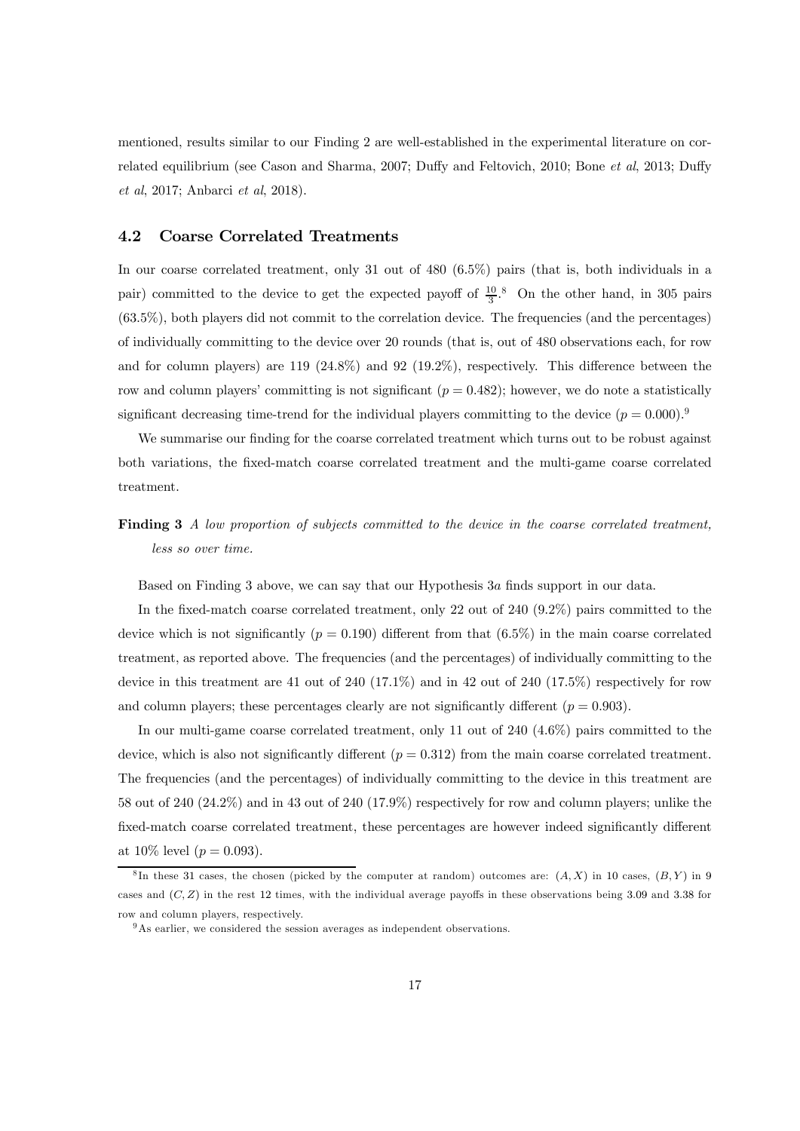mentioned, results similar to our Finding 2 are well-established in the experimental literature on correlated equilibrium (see Cason and Sharma, 2007; Duffy and Feltovich, 2010; Bone et al, 2013; Duffy et al, 2017; Anbarci et al, 2018).

#### 4.2 Coarse Correlated Treatments

In our coarse correlated treatment, only 31 out of 480 (65%) pairs (that is, both individuals in a pair) committed to the device to get the expected payoff of  $\frac{10}{3}$ .<sup>8</sup> On the other hand, in 305 pairs (635%), both players did not commit to the correlation device. The frequencies (and the percentages) of individually committing to the device over 20 rounds (that is, out of 480 observations each, for row and for column players) are 119 (248%) and 92 (192%), respectively. This difference between the row and column players' committing is not significant  $(p = 0.482)$ ; however, we do note a statistically significant decreasing time-trend for the individual players committing to the device  $(p = 0.000)^9$ 

We summarise our finding for the coarse correlated treatment which turns out to be robust against both variations, the fixed-match coarse correlated treatment and the multi-game coarse correlated treatment.

# Finding 3 A low proportion of subjects committed to the device in the coarse correlated treatment, less so over time.

Based on Finding 3 above, we can say that our Hypothesis  $3a$  finds support in our data.

In the fixed-match coarse correlated treatment, only 22 out of 240 (92%) pairs committed to the device which is not significantly  $(p = 0.190)$  different from that  $(6.5\%)$  in the main coarse correlated treatment, as reported above. The frequencies (and the percentages) of individually committing to the device in this treatment are 41 out of 240 (171%) and in 42 out of 240 (175%) respectively for row and column players; these percentages clearly are not significantly different  $(p = 0.903)$ .

In our multi-game coarse correlated treatment, only 11 out of 240 (46%) pairs committed to the device, which is also not significantly different  $(p = 0.312)$  from the main coarse correlated treatment. The frequencies (and the percentages) of individually committing to the device in this treatment are 58 out of 240 (242%) and in 43 out of 240 (179%) respectively for row and column players; unlike the fixed-match coarse correlated treatment, these percentages are however indeed significantly different at 10\% level ( $p = 0.093$ ).

 ${}^8$ In these 31 cases, the chosen (picked by the computer at random) outcomes are:  $(A, X)$  in 10 cases,  $(B, Y)$  in 9 cases and  $(C, Z)$  in the rest 12 times, with the individual average payoffs in these observations being 3.09 and 3.38 for row and column players, respectively.

<sup>&</sup>lt;sup>9</sup>As earlier, we considered the session averages as independent observations.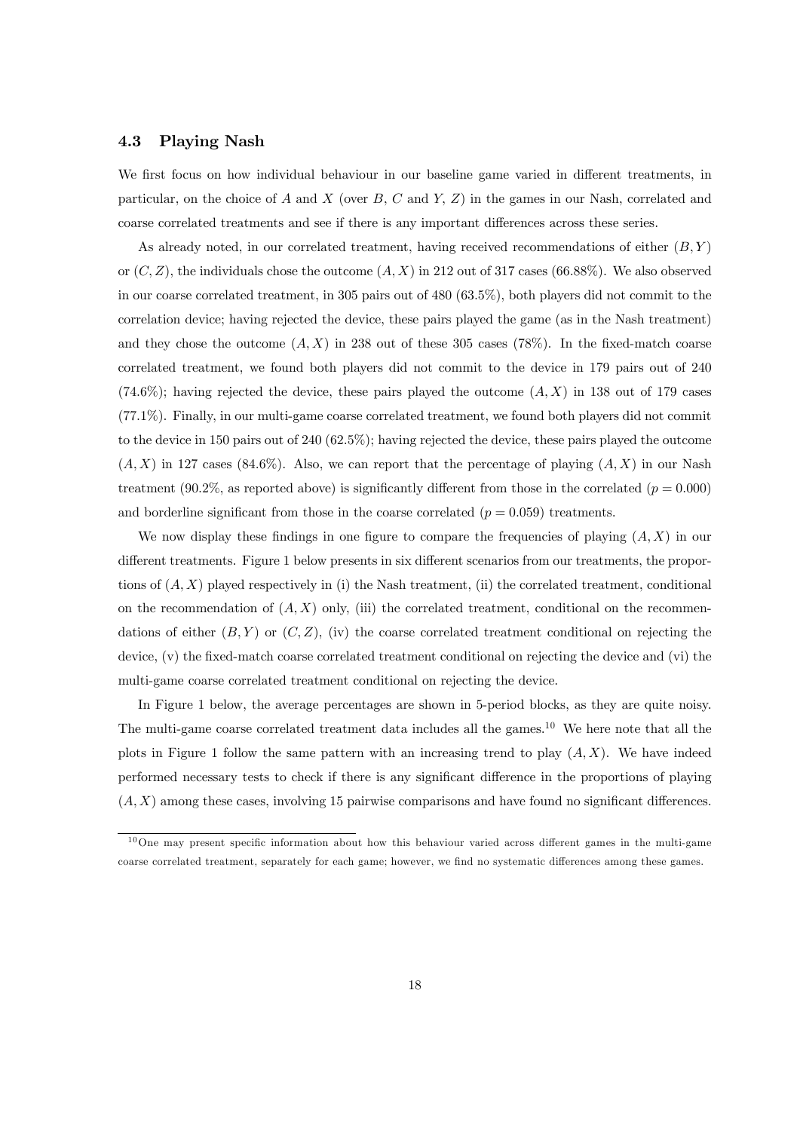#### 4.3 Playing Nash

We first focus on how individual behaviour in our baseline game varied in different treatments, in particular, on the choice of  $A$  and  $X$  (over  $B$ ,  $C$  and  $Y$ ,  $Z$ ) in the games in our Nash, correlated and coarse correlated treatments and see if there is any important differences across these series.

As already noted, in our correlated treatment, having received recommendations of either  $(B, Y)$ or  $(C, Z)$ , the individuals chose the outcome  $(A, X)$  in 212 out of 317 cases (66.88%). We also observed in our coarse correlated treatment, in 305 pairs out of 480 (635%), both players did not commit to the correlation device; having rejected the device, these pairs played the game (as in the Nash treatment) and they chose the outcome  $(A, X)$  in 238 out of these 305 cases (78%). In the fixed-match coarse correlated treatment, we found both players did not commit to the device in 179 pairs out of 240 (74.6%); having rejected the device, these pairs played the outcome  $(A, X)$  in 138 out of 179 cases (771%). Finally, in our multi-game coarse correlated treatment, we found both players did not commit to the device in 150 pairs out of 240 (625%); having rejected the device, these pairs played the outcome  $(A, X)$  in 127 cases (84.6%). Also, we can report that the percentage of playing  $(A, X)$  in our Nash treatment (90.2%, as reported above) is significantly different from those in the correlated ( $p = 0.000$ ) and borderline significant from those in the coarse correlated  $(p = 0.059)$  treatments.

We now display these findings in one figure to compare the frequencies of playing  $(A, X)$  in our different treatments. Figure 1 below presents in six different scenarios from our treatments, the proportions of  $(A, X)$  played respectively in (i) the Nash treatment, (ii) the correlated treatment, conditional on the recommendation of  $(A, X)$  only, (iii) the correlated treatment, conditional on the recommendations of either  $(B, Y)$  or  $(C, Z)$ , (iv) the coarse correlated treatment conditional on rejecting the device, (v) the fixed-match coarse correlated treatment conditional on rejecting the device and (vi) the multi-game coarse correlated treatment conditional on rejecting the device.

In Figure 1 below, the average percentages are shown in 5-period blocks, as they are quite noisy. The multi-game coarse correlated treatment data includes all the games.10 We here note that all the plots in Figure 1 follow the same pattern with an increasing trend to play  $(A, X)$ . We have indeed performed necessary tests to check if there is any significant difference in the proportions of playing  $(A, X)$  among these cases, involving 15 pairwise comparisons and have found no significant differences.

 $10$  One may present specific information about how this behaviour varied across different games in the multi-game coarse correlated treatment, separately for each game; however, we find no systematic differences among these games.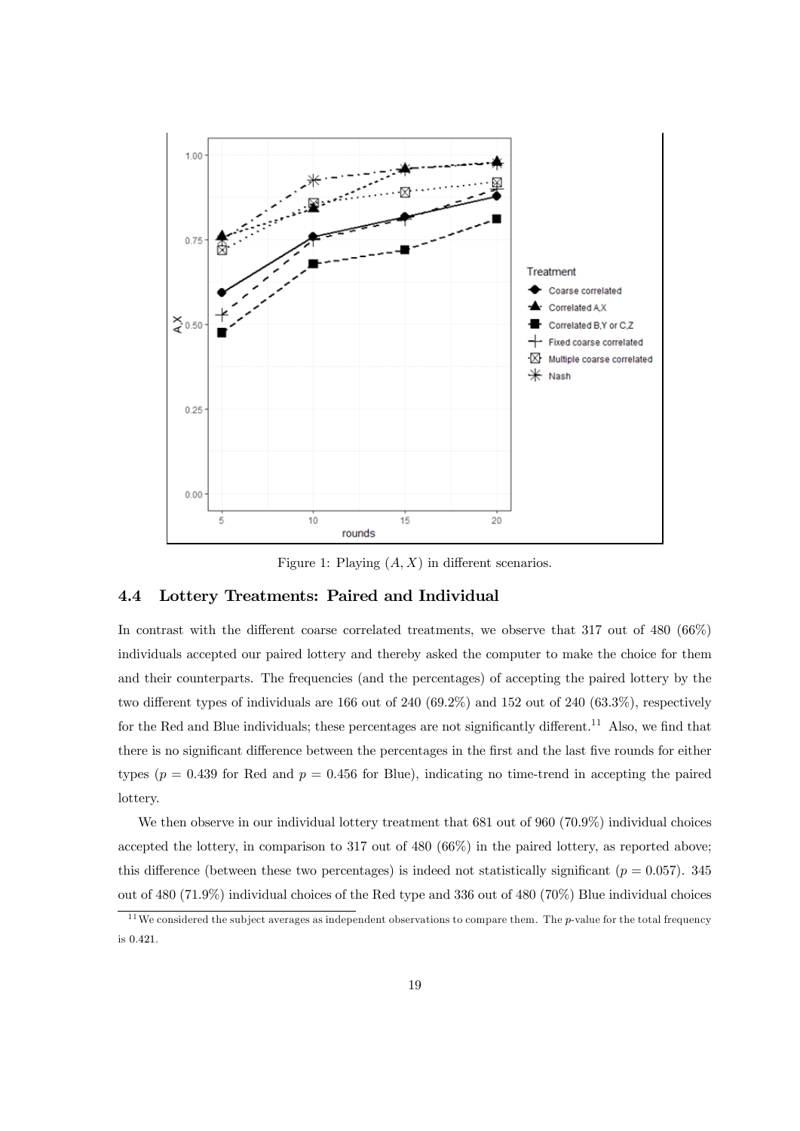

Figure 1: Playing  $(A, X)$  in different scenarios.

### 4.4 Lottery Treatments: Paired and Individual

In contrast with the different coarse correlated treatments, we observe that 317 out of 480 (66%) individuals accepted our paired lottery and thereby asked the computer to make the choice for them and their counterparts. The frequencies (and the percentages) of accepting the paired lottery by the two different types of individuals are 166 out of 240 (692%) and 152 out of 240 (633%), respectively for the Red and Blue individuals; these percentages are not significantly different.<sup>11</sup> Also, we find that there is no significant difference between the percentages in the first and the last five rounds for either types ( $p = 0.439$  for Red and  $p = 0.456$  for Blue), indicating no time-trend in accepting the paired lottery.

We then observe in our individual lottery treatment that 681 out of 960 (70.9%) individual choices accepted the lottery, in comparison to 317 out of 480 (66%) in the paired lottery, as reported above; this difference (between these two percentages) is indeed not statistically significant ( $p = 0.057$ ). 345 out of 480 (719%) individual choices of the Red type and 336 out of 480 (70%) Blue individual choices

<sup>&</sup>lt;sup>11</sup> We considered the subject averages as independent observations to compare them. The  $p$ -value for the total frequency is 0421.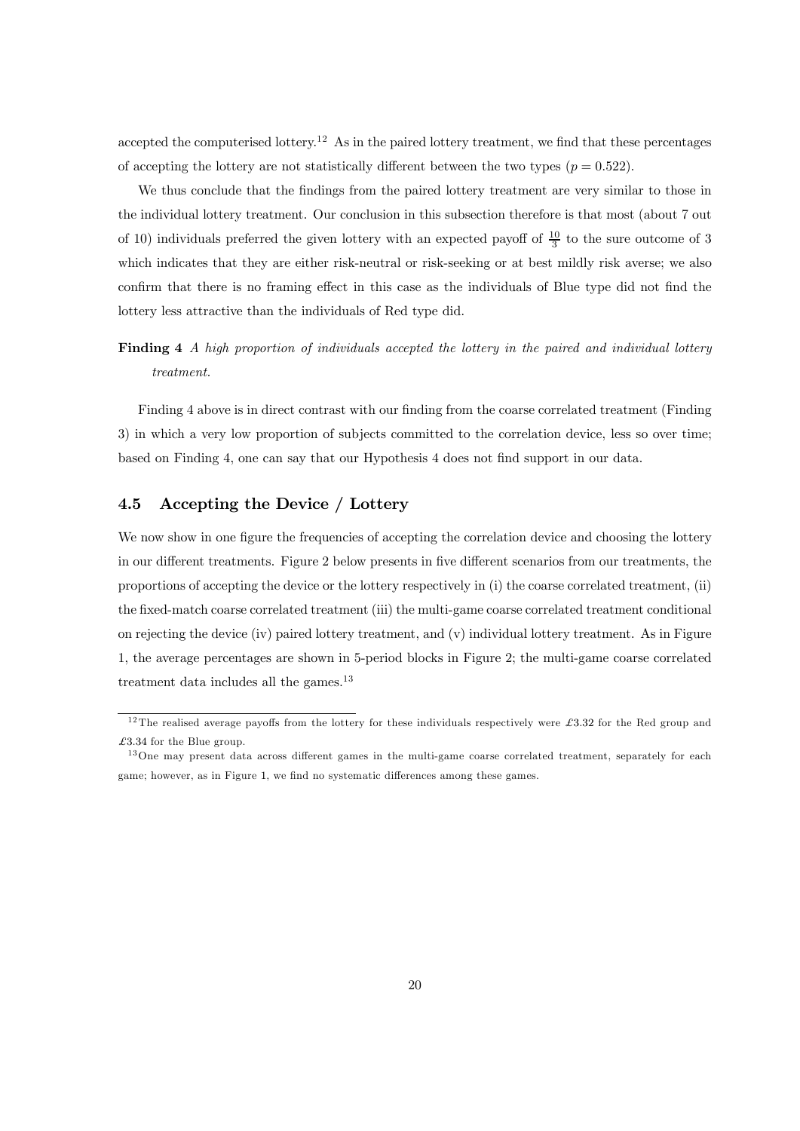accepted the computerised lottery.<sup>12</sup> As in the paired lottery treatment, we find that these percentages of accepting the lottery are not statistically different between the two types  $(p = 0.522)$ .

We thus conclude that the findings from the paired lottery treatment are very similar to those in the individual lottery treatment. Our conclusion in this subsection therefore is that most (about 7 out of 10) individuals preferred the given lottery with an expected payoff of  $\frac{10}{3}$  to the sure outcome of 3 which indicates that they are either risk-neutral or risk-seeking or at best mildly risk averse; we also confirm that there is no framing effect in this case as the individuals of Blue type did not find the lottery less attractive than the individuals of Red type did.

# Finding 4 A high proportion of individuals accepted the lottery in the paired and individual lottery treatment.

Finding 4 above is in direct contrast with our finding from the coarse correlated treatment (Finding 3) in which a very low proportion of subjects committed to the correlation device, less so over time; based on Finding 4, one can say that our Hypothesis 4 does not find support in our data.

### 4.5 Accepting the Device / Lottery

We now show in one figure the frequencies of accepting the correlation device and choosing the lottery in our different treatments. Figure 2 below presents in five different scenarios from our treatments, the proportions of accepting the device or the lottery respectively in (i) the coarse correlated treatment, (ii) the fixed-match coarse correlated treatment (iii) the multi-game coarse correlated treatment conditional on rejecting the device (iv) paired lottery treatment, and (v) individual lottery treatment. As in Figure 1, the average percentages are shown in 5-period blocks in Figure 2; the multi-game coarse correlated treatment data includes all the games.<sup>13</sup>

 $12$  The realised average payoffs from the lottery for these individuals respectively were £3.32 for the Red group and  $£3.34$  for the Blue group.

<sup>&</sup>lt;sup>13</sup>One may present data across different games in the multi-game coarse correlated treatment, separately for each game; however, as in Figure 1, we find no systematic differences among these games.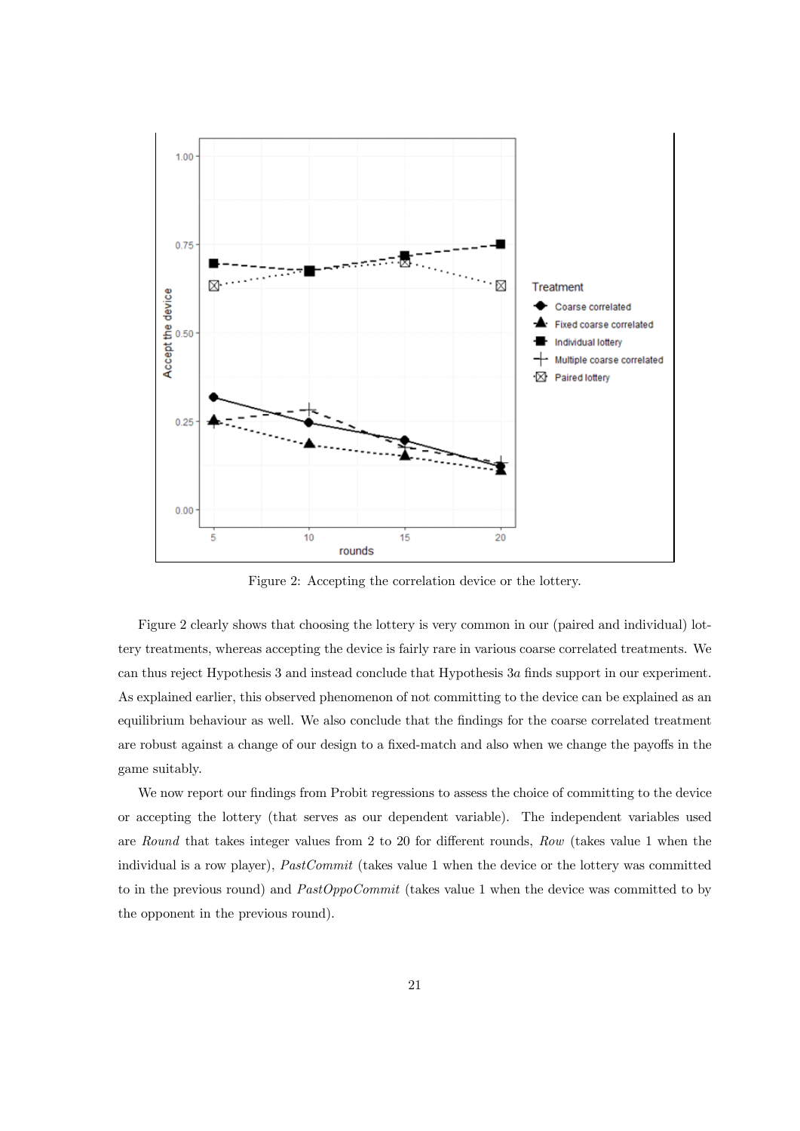

Figure 2: Accepting the correlation device or the lottery.

Figure 2 clearly shows that choosing the lottery is very common in our (paired and individual) lottery treatments, whereas accepting the device is fairly rare in various coarse correlated treatments. We can thus reject Hypothesis 3 and instead conclude that Hypothesis 3a finds support in our experiment. As explained earlier, this observed phenomenon of not committing to the device can be explained as an equilibrium behaviour as well. We also conclude that the findings for the coarse correlated treatment are robust against a change of our design to a fixed-match and also when we change the payoffs in the game suitably.

We now report our findings from Probit regressions to assess the choice of committing to the device or accepting the lottery (that serves as our dependent variable). The independent variables used are Round that takes integer values from 2 to 20 for different rounds, Row (takes value 1 when the individual is a row player), *PastCommit* (takes value 1 when the device or the lottery was committed to in the previous round) and *PastOppoCommit* (takes value 1 when the device was committed to by the opponent in the previous round).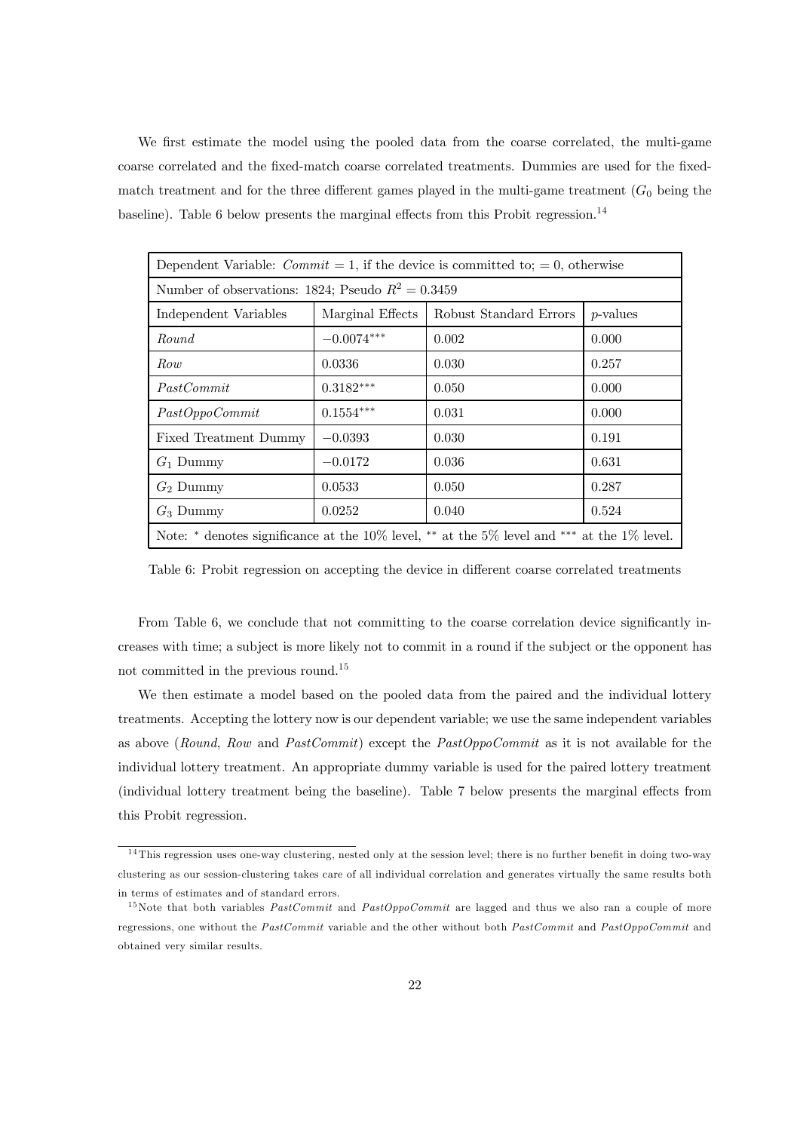We first estimate the model using the pooled data from the coarse correlated, the multi-game coarse correlated and the fixed-match coarse correlated treatments. Dummies are used for the fixedmatch treatment and for the three different games played in the multi-game treatment  $(G_0)$  being the baseline). Table 6 below presents the marginal effects from this Probit regression.14

| Dependent Variable: <i>Commit</i> = 1, if the device is committed to; = 0, otherwise             |                  |                        |             |  |  |  |
|--------------------------------------------------------------------------------------------------|------------------|------------------------|-------------|--|--|--|
| Number of observations: 1824; Pseudo $R^2 = 0.3459$                                              |                  |                        |             |  |  |  |
| Independent Variables                                                                            | Marginal Effects | Robust Standard Errors | $p$ -values |  |  |  |
| Round                                                                                            | $-0.0074***$     | 0.002                  | 0.000       |  |  |  |
| Row                                                                                              | 0.0336           | 0.030                  | 0.257       |  |  |  |
| PastCommit                                                                                       | $0.3182***$      | 0.050                  | 0.000       |  |  |  |
| PastOppoCommit                                                                                   | $0.1554***$      | 0.031                  | 0.000       |  |  |  |
| Fixed Treatment Dummy                                                                            | $-0.0393$        | 0.030                  | 0.191       |  |  |  |
| $G_1$ Dummy                                                                                      | $-0.0172$        | 0.036                  | 0.631       |  |  |  |
| $G_2$ Dummy                                                                                      | 0.0533           | 0.050                  | 0.287       |  |  |  |
| $G_3$ Dummy                                                                                      | 0.0252           | 0.040                  | 0.524       |  |  |  |
| Note: $*$ denotes significance at the 10% level, $**$ at the 5% level and $***$ at the 1% level. |                  |                        |             |  |  |  |

Table 6: Probit regression on accepting the device in different coarse correlated treatments

From Table 6, we conclude that not committing to the coarse correlation device significantly increases with time; a subject is more likely not to commit in a round if the subject or the opponent has not committed in the previous round.15

We then estimate a model based on the pooled data from the paired and the individual lottery treatments. Accepting the lottery now is our dependent variable; we use the same independent variables as above (Round, Row and PastCommit) except the PastOppoCommit as it is not available for the individual lottery treatment. An appropriate dummy variable is used for the paired lottery treatment (individual lottery treatment being the baseline). Table 7 below presents the marginal effects from this Probit regression.

<sup>&</sup>lt;sup>14</sup> This regression uses one-way clustering, nested only at the session level; there is no further benefit in doing two-way clustering as our session-clustering takes care of all individual correlation and generates virtually the same results both in terms of estimates and of standard errors.

<sup>&</sup>lt;sup>15</sup>Note that both variables  $PastCommit$  and  $PastOppoCommit$  are lagged and thus we also ran a couple of more regressions, one without the PastCommit variable and the other without both PastCommit and PastOppoCommit and obtained very similar results.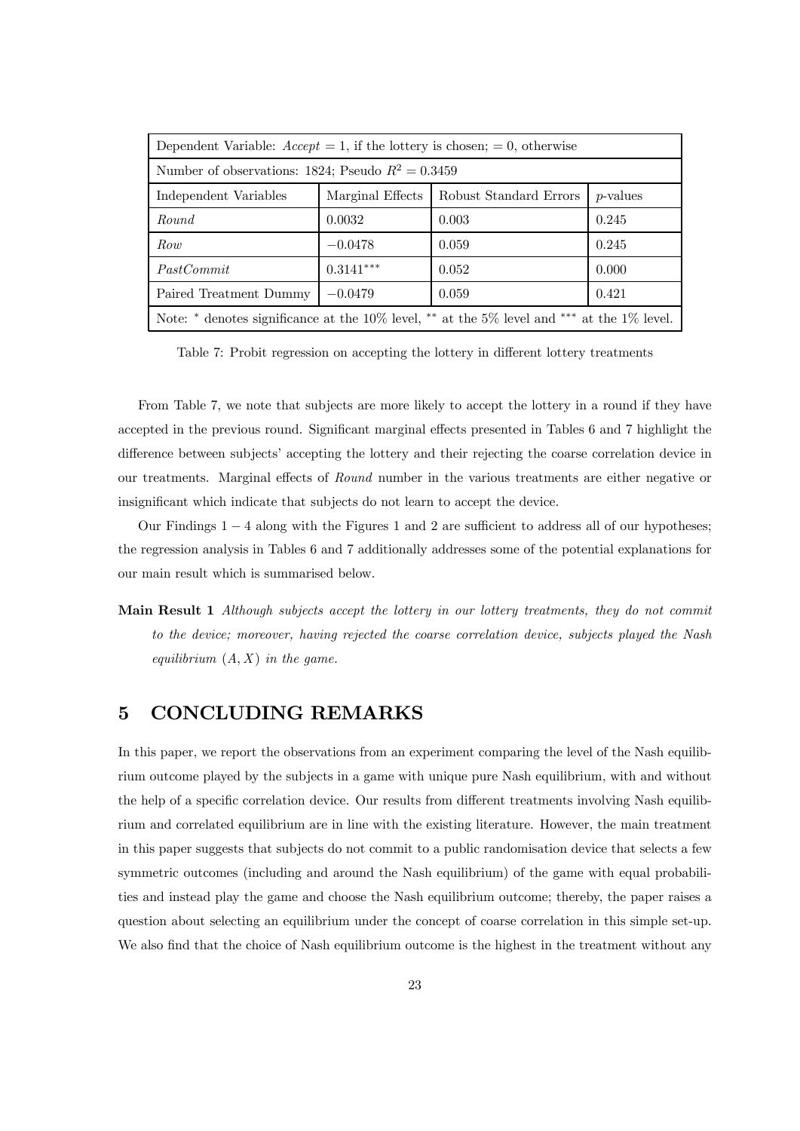| Dependent Variable: $Accept = 1$ , if the lottery is chosen; $= 0$ , otherwise                   |             |       |       |  |  |  |
|--------------------------------------------------------------------------------------------------|-------------|-------|-------|--|--|--|
| Number of observations: 1824; Pseudo $R^2 = 0.3459$                                              |             |       |       |  |  |  |
| Robust Standard Errors<br>Marginal Effects<br>Independent Variables<br><i>p</i> -values          |             |       |       |  |  |  |
| Round                                                                                            | 0.0032      | 0.003 | 0.245 |  |  |  |
| Row                                                                                              | $-0.0478$   | 0.059 | 0.245 |  |  |  |
| PastCommit                                                                                       | $0.3141***$ | 0.052 | 0.000 |  |  |  |
| $-0.0479$<br>0.059<br>0.421<br>Paired Treatment Dummy                                            |             |       |       |  |  |  |
| Note: $*$ denotes significance at the 10% level, $**$ at the 5% level and $***$ at the 1% level. |             |       |       |  |  |  |

Table 7: Probit regression on accepting the lottery in different lottery treatments

From Table 7, we note that subjects are more likely to accept the lottery in a round if they have accepted in the previous round. Significant marginal effects presented in Tables 6 and 7 highlight the difference between subjects' accepting the lottery and their rejecting the coarse correlation device in our treatments. Marginal effects of Round number in the various treatments are either negative or insignificant which indicate that subjects do not learn to accept the device.

Our Findings  $1 - 4$  along with the Figures 1 and 2 are sufficient to address all of our hypotheses; the regression analysis in Tables 6 and 7 additionally addresses some of the potential explanations for our main result which is summarised below.

Main Result 1 Although subjects accept the lottery in our lottery treatments, they do not commit to the device; moreover, having rejected the coarse correlation device, subjects played the Nash equilibrium  $(A, X)$  in the game.

## 5 CONCLUDING REMARKS

In this paper, we report the observations from an experiment comparing the level of the Nash equilibrium outcome played by the subjects in a game with unique pure Nash equilibrium, with and without the help of a specific correlation device. Our results from different treatments involving Nash equilibrium and correlated equilibrium are in line with the existing literature. However, the main treatment in this paper suggests that subjects do not commit to a public randomisation device that selects a few symmetric outcomes (including and around the Nash equilibrium) of the game with equal probabilities and instead play the game and choose the Nash equilibrium outcome; thereby, the paper raises a question about selecting an equilibrium under the concept of coarse correlation in this simple set-up. We also find that the choice of Nash equilibrium outcome is the highest in the treatment without any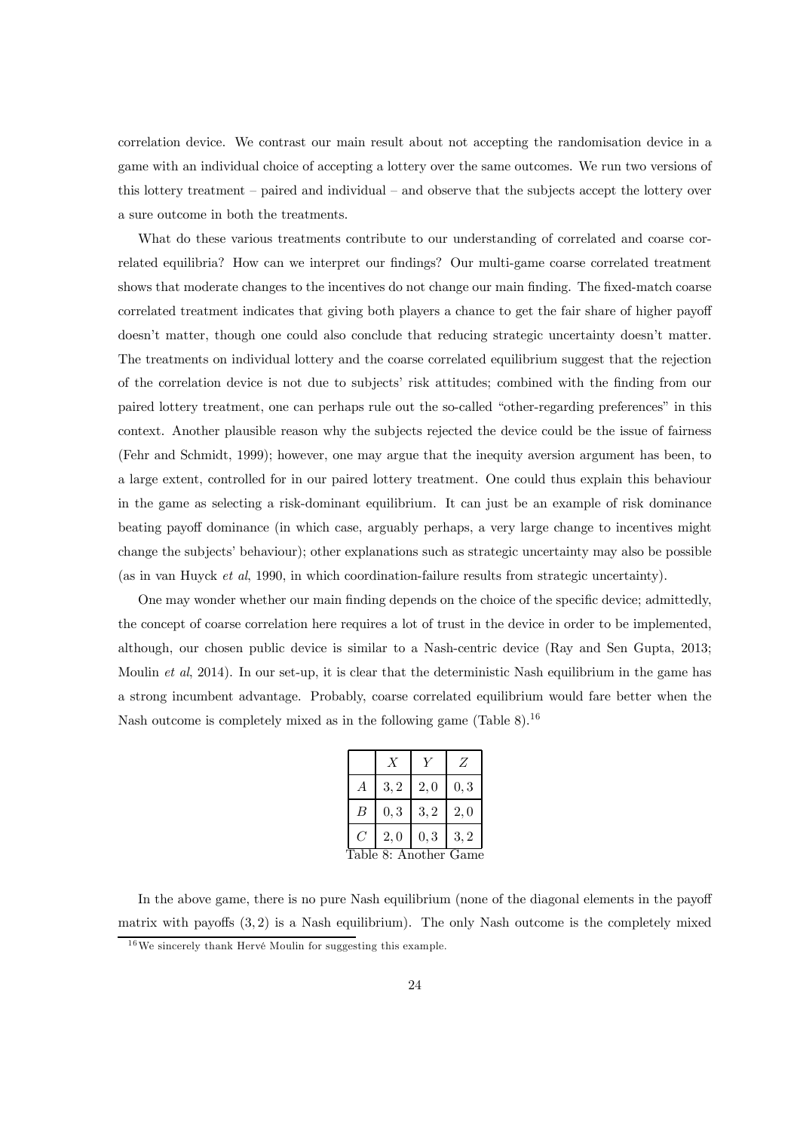correlation device. We contrast our main result about not accepting the randomisation device in a game with an individual choice of accepting a lottery over the same outcomes. We run two versions of this lottery treatment — paired and individual — and observe that the subjects accept the lottery over a sure outcome in both the treatments.

What do these various treatments contribute to our understanding of correlated and coarse correlated equilibria? How can we interpret our findings? Our multi-game coarse correlated treatment shows that moderate changes to the incentives do not change our main finding. The fixed-match coarse correlated treatment indicates that giving both players a chance to get the fair share of higher payoff doesn't matter, though one could also conclude that reducing strategic uncertainty doesn't matter. The treatments on individual lottery and the coarse correlated equilibrium suggest that the rejection of the correlation device is not due to subjects' risk attitudes; combined with the finding from our paired lottery treatment, one can perhaps rule out the so-called "other-regarding preferences" in this context. Another plausible reason why the subjects rejected the device could be the issue of fairness (Fehr and Schmidt, 1999); however, one may argue that the inequity aversion argument has been, to a large extent, controlled for in our paired lottery treatment. One could thus explain this behaviour in the game as selecting a risk-dominant equilibrium. It can just be an example of risk dominance beating payoff dominance (in which case, arguably perhaps, a very large change to incentives might change the subjects' behaviour); other explanations such as strategic uncertainty may also be possible (as in van Huyck et al, 1990, in which coordination-failure results from strategic uncertainty).

One may wonder whether our main finding depends on the choice of the specific device; admittedly, the concept of coarse correlation here requires a lot of trust in the device in order to be implemented, although, our chosen public device is similar to a Nash-centric device (Ray and Sen Gupta, 2013; Moulin et al, 2014). In our set-up, it is clear that the deterministic Nash equilibrium in the game has a strong incumbent advantage. Probably, coarse correlated equilibrium would fare better when the Nash outcome is completely mixed as in the following game (Table 8).<sup>16</sup>

|     | $\boldsymbol{X}$ |                       | Z    |
|-----|------------------|-----------------------|------|
| А   | 3, 2             | 2,0                   | 0,3  |
| В   | 0, 3             | 3, 2                  | 2,0  |
| C / | 2,0              | 0, 3                  | 3, 2 |
|     |                  | Table 8: Another Game |      |

In the above game, there is no pure Nash equilibrium (none of the diagonal elements in the payoff matrix with payoffs  $(3, 2)$  is a Nash equilibrium). The only Nash outcome is the completely mixed

 $16$  We sincerely thank Hervé Moulin for suggesting this example.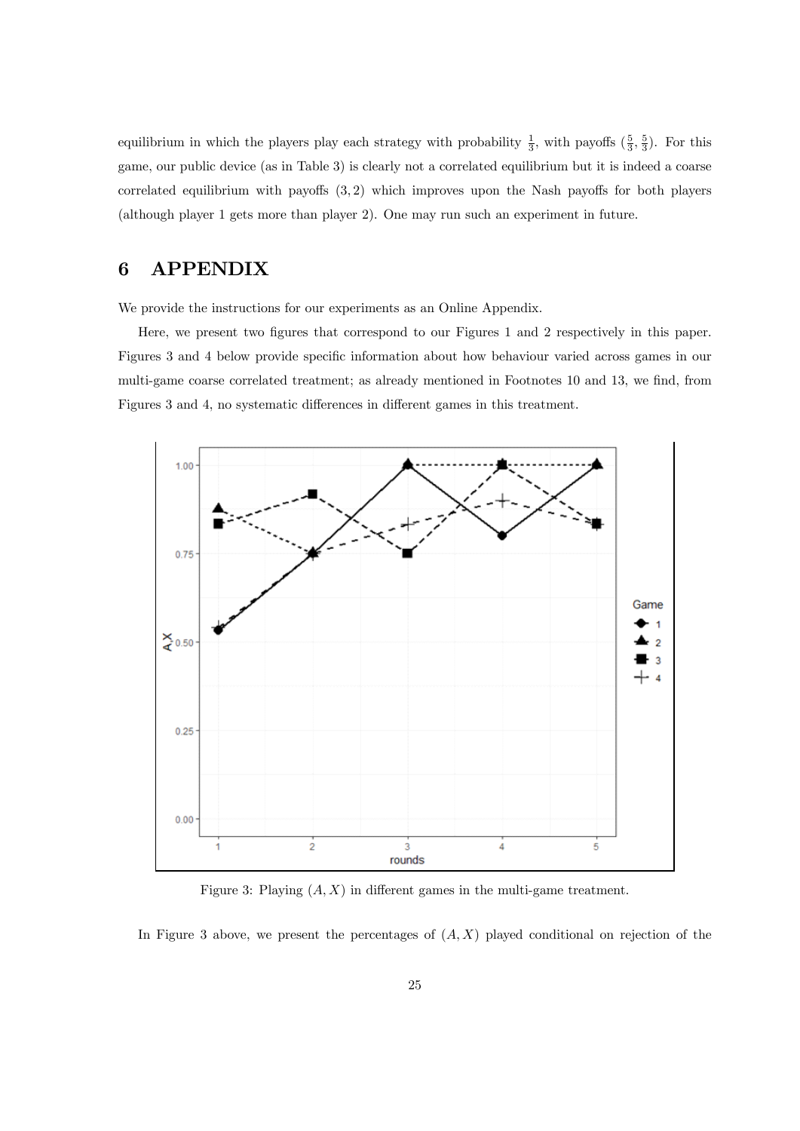equilibrium in which the players play each strategy with probability  $\frac{1}{3}$ , with payoffs  $(\frac{5}{3}, \frac{5}{3})$ . For this game, our public device (as in Table 3) is clearly not a correlated equilibrium but it is indeed a coarse correlated equilibrium with payoffs  $(3, 2)$  which improves upon the Nash payoffs for both players (although player 1 gets more than player 2). One may run such an experiment in future.

# 6 APPENDIX

We provide the instructions for our experiments as an Online Appendix.

Here, we present two figures that correspond to our Figures 1 and 2 respectively in this paper. Figures 3 and 4 below provide specific information about how behaviour varied across games in our multi-game coarse correlated treatment; as already mentioned in Footnotes 10 and 13, we find, from Figures 3 and 4, no systematic differences in different games in this treatment.



Figure 3: Playing  $(A, X)$  in different games in the multi-game treatment.

In Figure 3 above, we present the percentages of  $(A, X)$  played conditional on rejection of the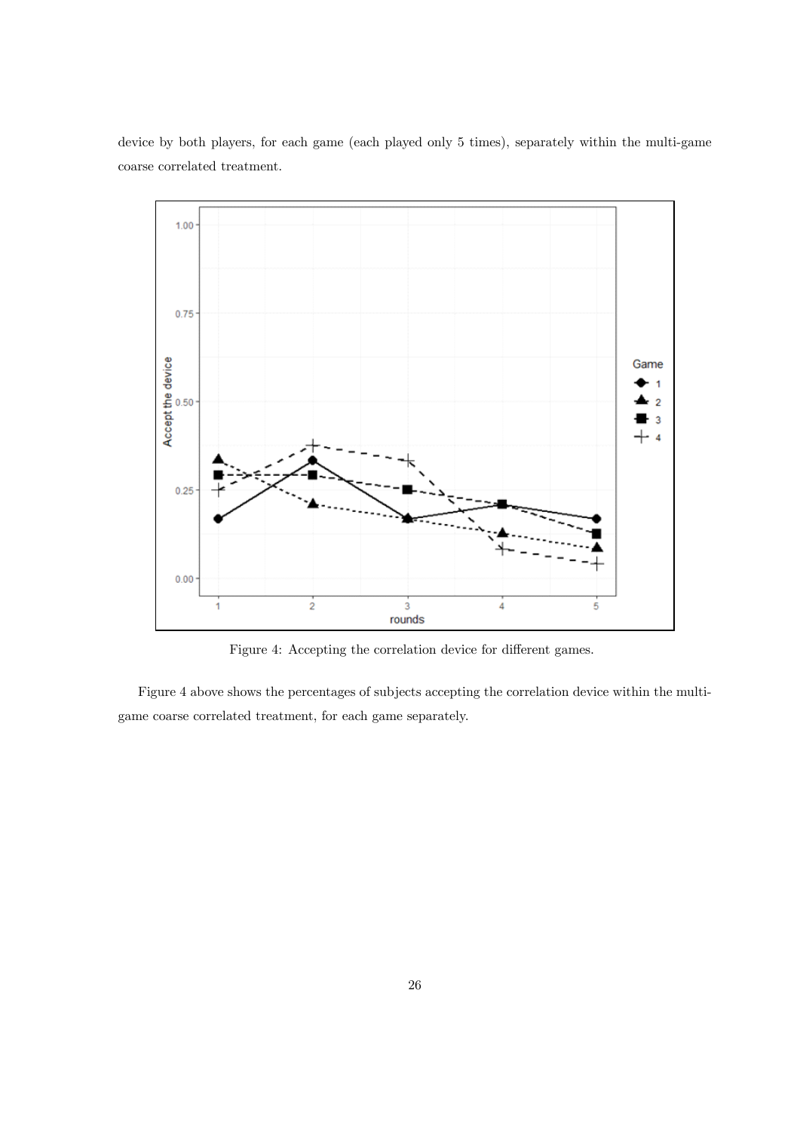device by both players, for each game (each played only 5 times), separately within the multi-game coarse correlated treatment.



Figure 4: Accepting the correlation device for different games.

Figure 4 above shows the percentages of subjects accepting the correlation device within the multigame coarse correlated treatment, for each game separately.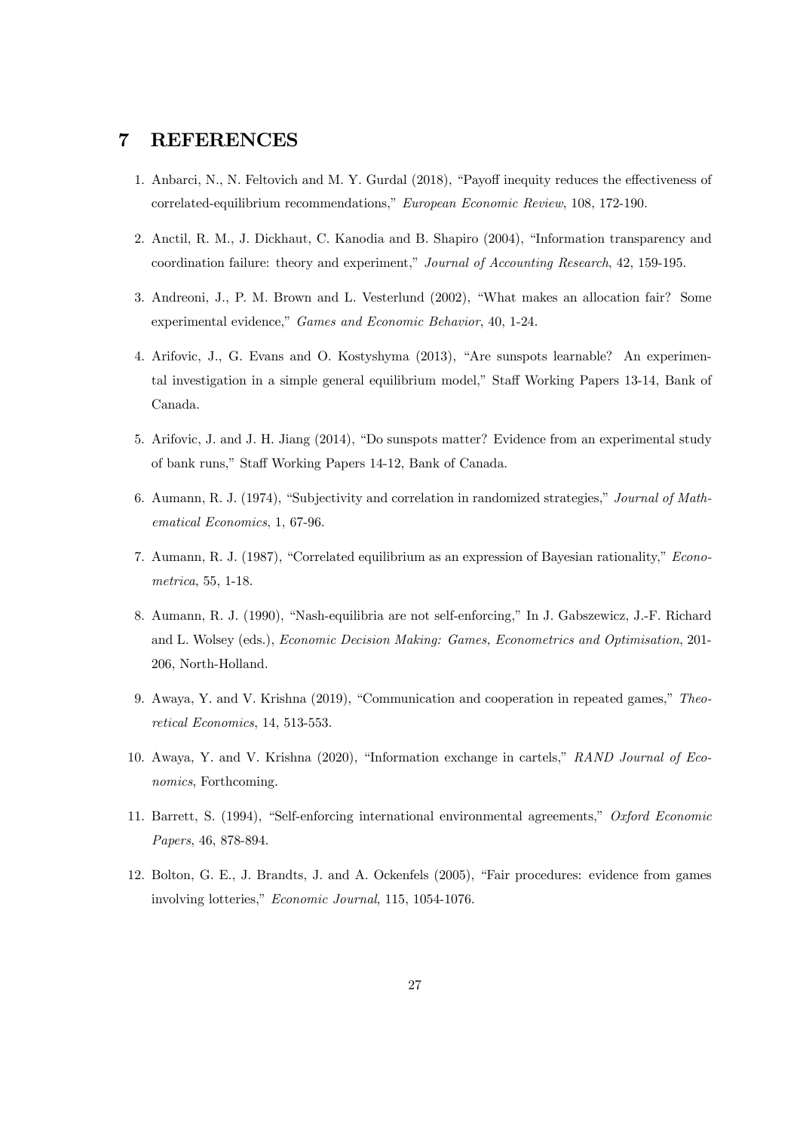## 7 REFERENCES

- 1. Anbarci, N., N. Feltovich and M. Y. Gurdal (2018), "Payoff inequity reduces the effectiveness of correlated-equilibrium recommendations," European Economic Review, 108, 172-190.
- 2. Anctil, R. M., J. Dickhaut, C. Kanodia and B. Shapiro (2004), "Information transparency and coordination failure: theory and experiment," Journal of Accounting Research, 42, 159-195.
- 3. Andreoni, J., P. M. Brown and L. Vesterlund (2002), "What makes an allocation fair? Some experimental evidence," Games and Economic Behavior, 40, 1-24.
- 4. Arifovic, J., G. Evans and O. Kostyshyma (2013), "Are sunspots learnable? An experimental investigation in a simple general equilibrium model," Staff Working Papers 13-14, Bank of Canada.
- 5. Arifovic, J. and J. H. Jiang (2014), "Do sunspots matter? Evidence from an experimental study of bank runs," Staff Working Papers 14-12, Bank of Canada.
- 6. Aumann, R. J. (1974), "Subjectivity and correlation in randomized strategies," Journal of Mathematical Economics, 1, 67-96.
- 7. Aumann, R. J. (1987), "Correlated equilibrium as an expression of Bayesian rationality," Econometrica, 55, 1-18.
- 8. Aumann, R. J. (1990), "Nash-equilibria are not self-enforcing," In J. Gabszewicz, J.-F. Richard and L. Wolsey (eds.), Economic Decision Making: Games, Econometrics and Optimisation, 201- 206, North-Holland.
- 9. Awaya, Y. and V. Krishna (2019), "Communication and cooperation in repeated games," Theoretical Economics, 14, 513-553.
- 10. Awaya, Y. and V. Krishna (2020), "Information exchange in cartels," RAND Journal of Economics, Forthcoming.
- 11. Barrett, S. (1994), "Self-enforcing international environmental agreements," Oxford Economic Papers, 46, 878-894.
- 12. Bolton, G. E., J. Brandts, J. and A. Ockenfels (2005), "Fair procedures: evidence from games involving lotteries," Economic Journal, 115, 1054-1076.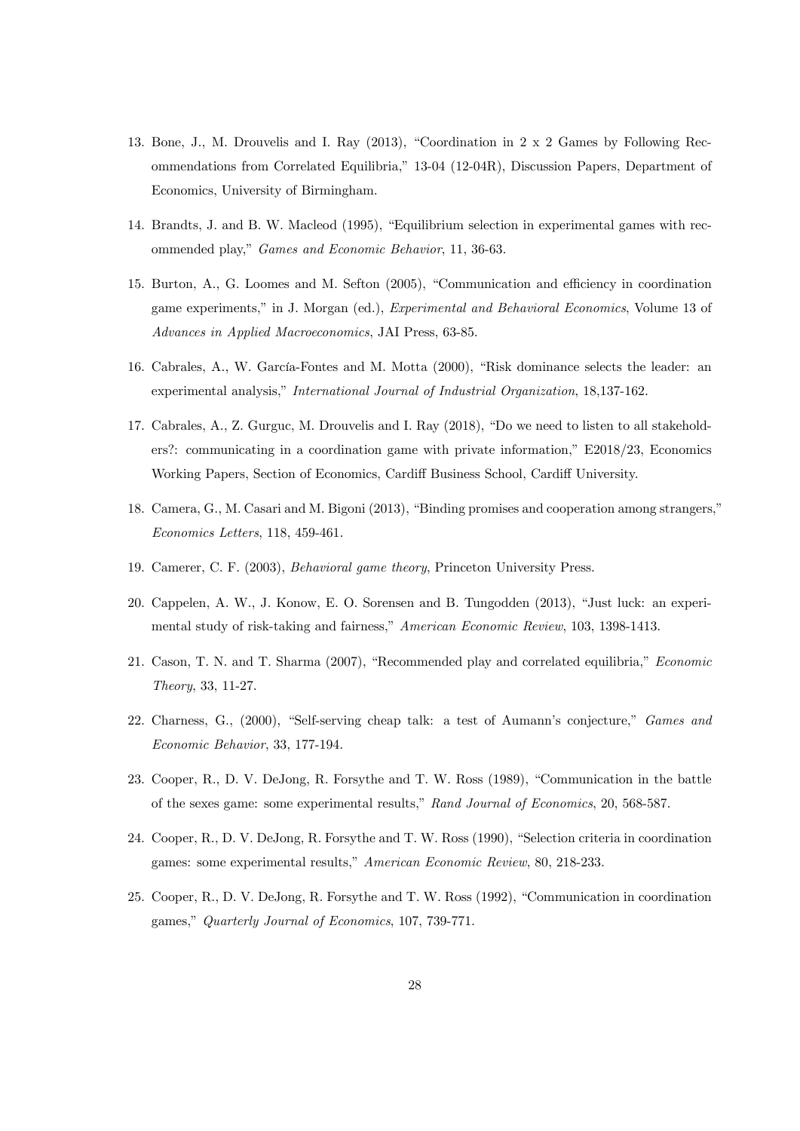- 13. Bone, J., M. Drouvelis and I. Ray (2013), "Coordination in 2 x 2 Games by Following Recommendations from Correlated Equilibria," 13-04 (12-04R), Discussion Papers, Department of Economics, University of Birmingham.
- 14. Brandts, J. and B. W. Macleod (1995), "Equilibrium selection in experimental games with recommended play," Games and Economic Behavior, 11, 36-63.
- 15. Burton, A., G. Loomes and M. Sefton (2005), "Communication and efficiency in coordination game experiments," in J. Morgan (ed.), Experimental and Behavioral Economics, Volume 13 of Advances in Applied Macroeconomics, JAI Press, 63-85.
- 16. Cabrales, A., W. García-Fontes and M. Motta (2000), "Risk dominance selects the leader: an experimental analysis," International Journal of Industrial Organization, 18,137-162.
- 17. Cabrales, A., Z. Gurguc, M. Drouvelis and I. Ray (2018), "Do we need to listen to all stakeholders?: communicating in a coordination game with private information," E2018/23, Economics Working Papers, Section of Economics, Cardiff Business School, Cardiff University.
- 18. Camera, G., M. Casari and M. Bigoni (2013), "Binding promises and cooperation among strangers," Economics Letters, 118, 459-461.
- 19. Camerer, C. F. (2003), Behavioral game theory, Princeton University Press.
- 20. Cappelen, A. W., J. Konow, E. O. Sorensen and B. Tungodden (2013), "Just luck: an experimental study of risk-taking and fairness," American Economic Review, 103, 1398-1413.
- 21. Cason, T. N. and T. Sharma (2007), "Recommended play and correlated equilibria," Economic Theory, 33, 11-27.
- 22. Charness, G., (2000), "Self-serving cheap talk: a test of Aumann's conjecture," Games and Economic Behavior, 33, 177-194.
- 23. Cooper, R., D. V. DeJong, R. Forsythe and T. W. Ross (1989), "Communication in the battle of the sexes game: some experimental results," Rand Journal of Economics, 20, 568-587.
- 24. Cooper, R., D. V. DeJong, R. Forsythe and T. W. Ross (1990), "Selection criteria in coordination games: some experimental results," American Economic Review, 80, 218-233.
- 25. Cooper, R., D. V. DeJong, R. Forsythe and T. W. Ross (1992), "Communication in coordination games," Quarterly Journal of Economics, 107, 739-771.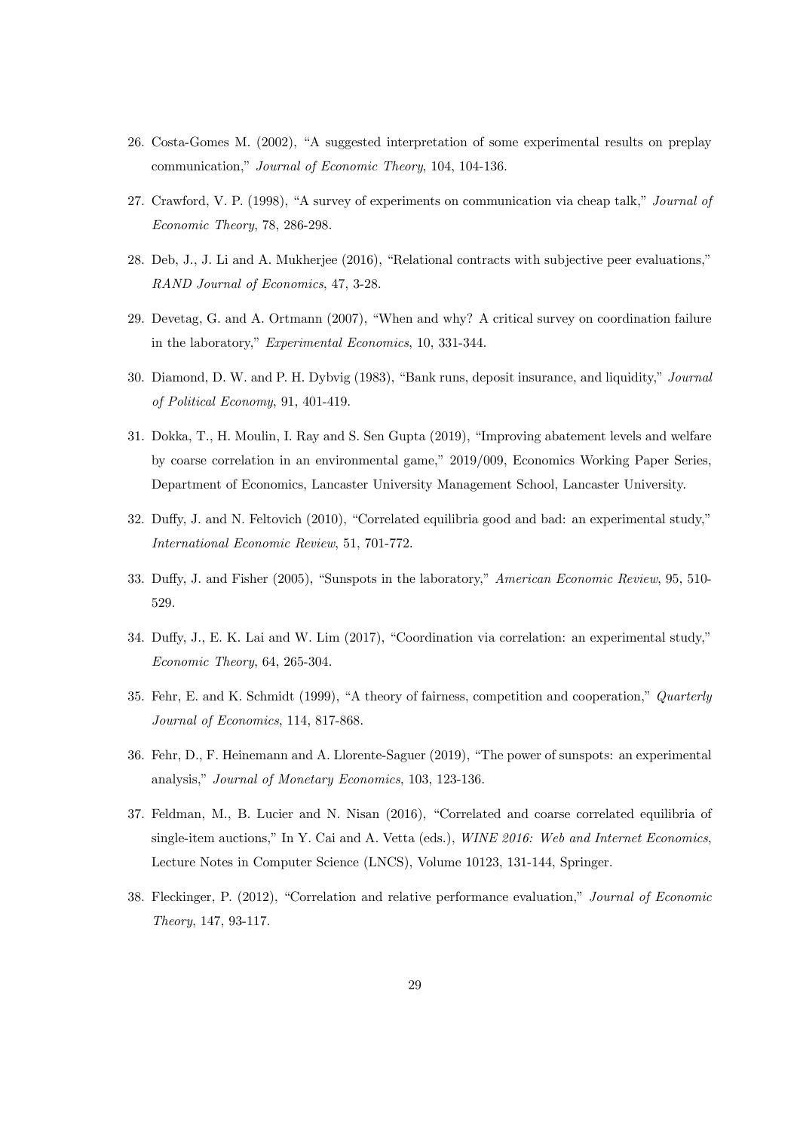- 26. Costa-Gomes M. (2002), "A suggested interpretation of some experimental results on preplay communication," Journal of Economic Theory, 104, 104-136.
- 27. Crawford, V. P. (1998), "A survey of experiments on communication via cheap talk," Journal of Economic Theory, 78, 286-298.
- 28. Deb, J., J. Li and A. Mukherjee (2016), "Relational contracts with subjective peer evaluations," RAND Journal of Economics, 47, 3-28.
- 29. Devetag, G. and A. Ortmann (2007), "When and why? A critical survey on coordination failure in the laboratory," Experimental Economics, 10, 331-344.
- 30. Diamond, D. W. and P. H. Dybvig (1983), "Bank runs, deposit insurance, and liquidity," Journal of Political Economy, 91, 401-419.
- 31. Dokka, T., H. Moulin, I. Ray and S. Sen Gupta (2019), "Improving abatement levels and welfare by coarse correlation in an environmental game," 2019/009, Economics Working Paper Series, Department of Economics, Lancaster University Management School, Lancaster University.
- 32. Duffy, J. and N. Feltovich (2010), "Correlated equilibria good and bad: an experimental study," International Economic Review, 51, 701-772.
- 33. Duffy, J. and Fisher (2005), "Sunspots in the laboratory," American Economic Review, 95, 510- 529.
- 34. Duffy, J., E. K. Lai and W. Lim (2017), "Coordination via correlation: an experimental study," Economic Theory, 64, 265-304.
- 35. Fehr, E. and K. Schmidt (1999), "A theory of fairness, competition and cooperation," Quarterly Journal of Economics, 114, 817-868.
- 36. Fehr, D., F. Heinemann and A. Llorente-Saguer (2019), "The power of sunspots: an experimental analysis," Journal of Monetary Economics, 103, 123-136.
- 37. Feldman, M., B. Lucier and N. Nisan (2016), "Correlated and coarse correlated equilibria of single-item auctions," In Y. Cai and A. Vetta (eds.), *WINE 2016: Web and Internet Economics*, Lecture Notes in Computer Science (LNCS), Volume 10123, 131-144, Springer.
- 38. Fleckinger, P. (2012), "Correlation and relative performance evaluation," Journal of Economic Theory, 147, 93-117.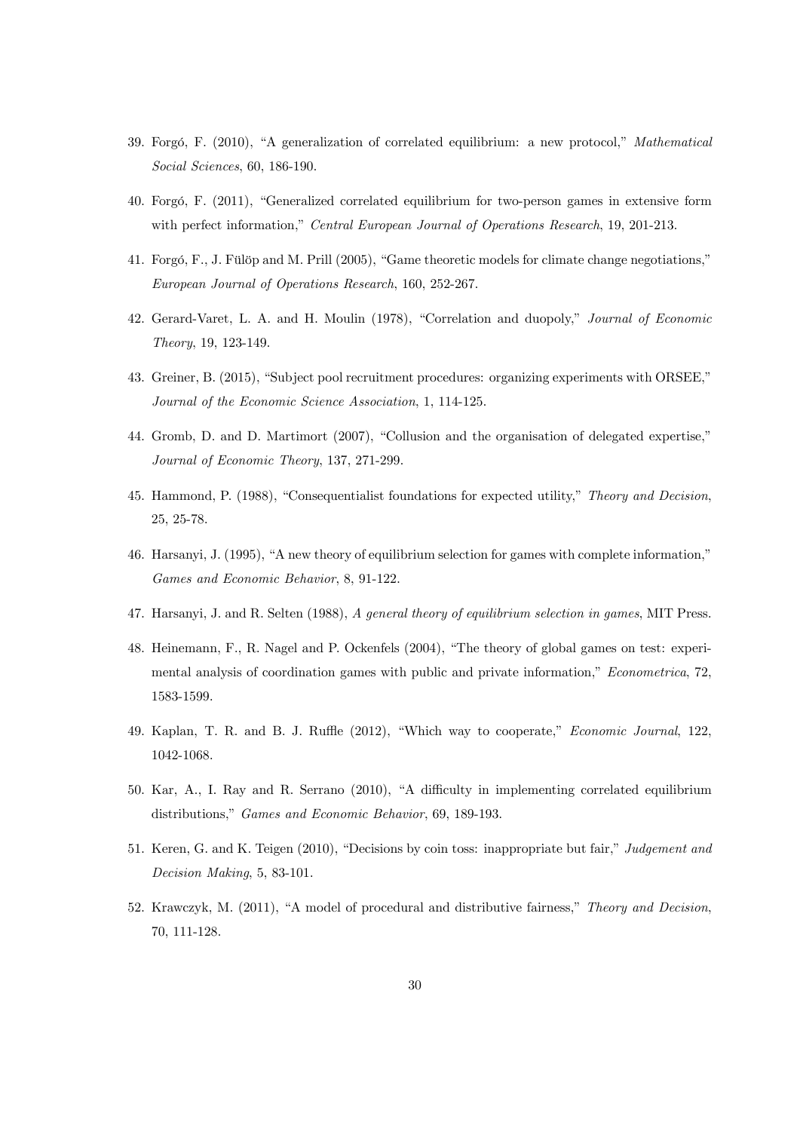- 39. Forgó, F. (2010), "A generalization of correlated equilibrium: a new protocol," Mathematical Social Sciences, 60, 186-190.
- 40. Forgó, F. (2011), "Generalized correlated equilibrium for two-person games in extensive form with perfect information," Central European Journal of Operations Research, 19, 201-213.
- 41. Forgó, F., J. Fülöp and M. Prill (2005), "Game theoretic models for climate change negotiations," European Journal of Operations Research, 160, 252-267.
- 42. Gerard-Varet, L. A. and H. Moulin (1978), "Correlation and duopoly," Journal of Economic Theory, 19, 123-149.
- 43. Greiner, B. (2015), "Subject pool recruitment procedures: organizing experiments with ORSEE," Journal of the Economic Science Association, 1, 114-125.
- 44. Gromb, D. and D. Martimort (2007), "Collusion and the organisation of delegated expertise," Journal of Economic Theory, 137, 271-299.
- 45. Hammond, P. (1988), "Consequentialist foundations for expected utility," Theory and Decision, 25, 25-78.
- 46. Harsanyi, J. (1995), "A new theory of equilibrium selection for games with complete information," Games and Economic Behavior, 8, 91-122.
- 47. Harsanyi, J. and R. Selten (1988), A general theory of equilibrium selection in games, MIT Press.
- 48. Heinemann, F., R. Nagel and P. Ockenfels (2004), "The theory of global games on test: experimental analysis of coordination games with public and private information," *Econometrica*, 72, 1583-1599.
- 49. Kaplan, T. R. and B. J. Ruffle (2012), "Which way to cooperate," Economic Journal, 122, 1042-1068.
- 50. Kar, A., I. Ray and R. Serrano (2010), "A difficulty in implementing correlated equilibrium distributions," Games and Economic Behavior, 69, 189-193.
- 51. Keren, G. and K. Teigen (2010), "Decisions by coin toss: inappropriate but fair," Judgement and Decision Making, 5, 83-101.
- 52. Krawczyk, M. (2011), "A model of procedural and distributive fairness," Theory and Decision, 70, 111-128.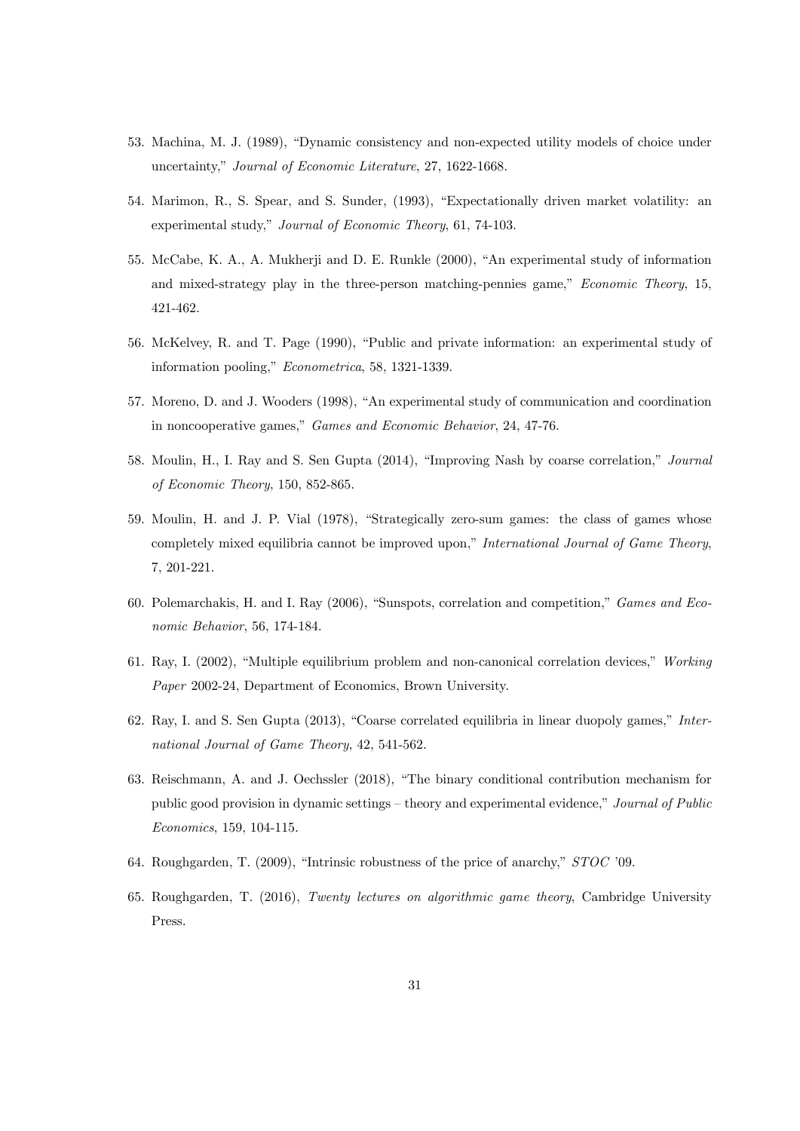- 53. Machina, M. J. (1989), "Dynamic consistency and non-expected utility models of choice under uncertainty," Journal of Economic Literature, 27, 1622-1668.
- 54. Marimon, R., S. Spear, and S. Sunder, (1993), "Expectationally driven market volatility: an experimental study," Journal of Economic Theory, 61, 74-103.
- 55. McCabe, K. A., A. Mukherji and D. E. Runkle (2000), "An experimental study of information and mixed-strategy play in the three-person matching-pennies game," *Economic Theory*, 15, 421-462.
- 56. McKelvey, R. and T. Page (1990), "Public and private information: an experimental study of information pooling," Econometrica, 58, 1321-1339.
- 57. Moreno, D. and J. Wooders (1998), "An experimental study of communication and coordination in noncooperative games," Games and Economic Behavior, 24, 47-76.
- 58. Moulin, H., I. Ray and S. Sen Gupta (2014), "Improving Nash by coarse correlation," Journal of Economic Theory, 150, 852-865.
- 59. Moulin, H. and J. P. Vial (1978), "Strategically zero-sum games: the class of games whose completely mixed equilibria cannot be improved upon," International Journal of Game Theory, 7, 201-221.
- 60. Polemarchakis, H. and I. Ray (2006), "Sunspots, correlation and competition," Games and Economic Behavior, 56, 174-184.
- 61. Ray, I. (2002), "Multiple equilibrium problem and non-canonical correlation devices," Working Paper 2002-24, Department of Economics, Brown University.
- 62. Ray, I. and S. Sen Gupta (2013), "Coarse correlated equilibria in linear duopoly games," International Journal of Game Theory, 42, 541-562.
- 63. Reischmann, A. and J. Oechssler (2018), "The binary conditional contribution mechanism for public good provision in dynamic settings — theory and experimental evidence," Journal of Public Economics, 159, 104-115.
- 64. Roughgarden, T. (2009), "Intrinsic robustness of the price of anarchy," STOC '09.
- 65. Roughgarden, T. (2016), Twenty lectures on algorithmic game theory, Cambridge University Press.